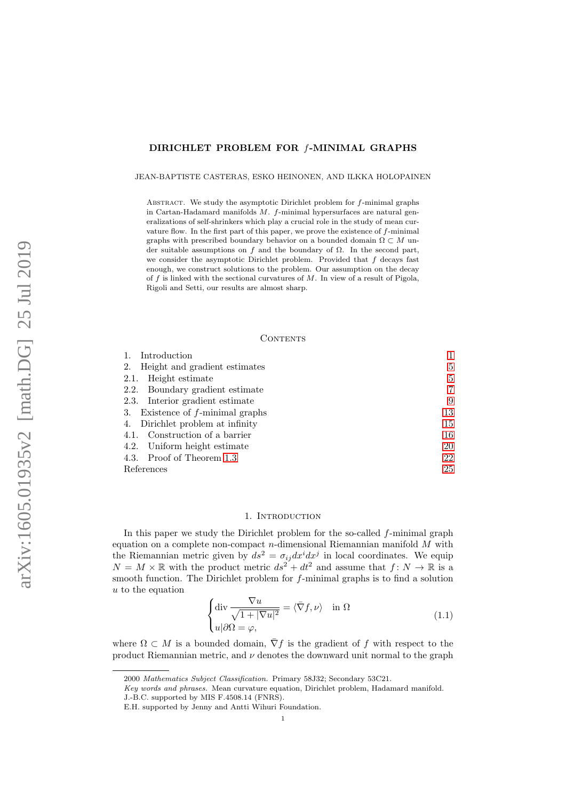### DIRICHLET PROBLEM FOR f-MINIMAL GRAPHS

JEAN-BAPTISTE CASTERAS, ESKO HEINONEN, AND ILKKA HOLOPAINEN

ABSTRACT. We study the asymptotic Dirichlet problem for f-minimal graphs in Cartan-Hadamard manifolds M. f-minimal hypersurfaces are natural generalizations of self-shrinkers which play a crucial role in the study of mean curvature flow. In the first part of this paper, we prove the existence of f-minimal graphs with prescribed boundary behavior on a bounded domain  $\Omega \subset M$  under suitable assumptions on f and the boundary of  $\Omega$ . In the second part, we consider the asymptotic Dirichlet problem. Provided that  $f$  decays fast enough, we construct solutions to the problem. Our assumption on the decay of  $f$  is linked with the sectional curvatures of  $M$ . In view of a result of Pigola, Rigoli and Setti, our results are almost sharp.

## **CONTENTS**

| Introduction                        |    |
|-------------------------------------|----|
| Height and gradient estimates<br>2. | 5  |
| Height estimate<br>2.1.             | 5  |
| 2.2. Boundary gradient estimate     | 7  |
| 2.3. Interior gradient estimate     | 9  |
| 3. Existence of $f$ -minimal graphs | 13 |
| 4. Dirichlet problem at infinity    | 15 |
| 4.1. Construction of a barrier      | 16 |
| 4.2. Uniform height estimate        | 20 |
| 4.3. Proof of Theorem 1.3           | 22 |
| References                          | 25 |

# 1. INTRODUCTION

<span id="page-0-0"></span>In this paper we study the Dirichlet problem for the so-called  $f$ -minimal graph equation on a complete non-compact  $n$ -dimensional Riemannian manifold  $M$  with the Riemannian metric given by  $ds^2 = \sigma_{ij} dx^i dx^j$  in local coordinates. We equip  $N = M \times \mathbb{R}$  with the product metric  $ds^2 + dt^2$  and assume that  $f: N \to \mathbb{R}$  is a smooth function. The Dirichlet problem for f-minimal graphs is to find a solution  $u$  to the equation

<span id="page-0-1"></span>
$$
\begin{cases} \operatorname{div} \frac{\nabla u}{\sqrt{1+|\nabla u|^2}} = \langle \bar{\nabla} f, \nu \rangle & \text{in } \Omega \\ u|\partial \Omega = \varphi, \end{cases}
$$
 (1.1)

where  $\Omega \subset M$  is a bounded domain,  $\nabla f$  is the gradient of f with respect to the product Riemannian metric, and  $\nu$  denotes the downward unit normal to the graph

<sup>2000</sup> Mathematics Subject Classification. Primary 58J32; Secondary 53C21.

Key words and phrases. Mean curvature equation, Dirichlet problem, Hadamard manifold.

J.-B.C. supported by MIS F.4508.14 (FNRS).

E.H. supported by Jenny and Antti Wihuri Foundation.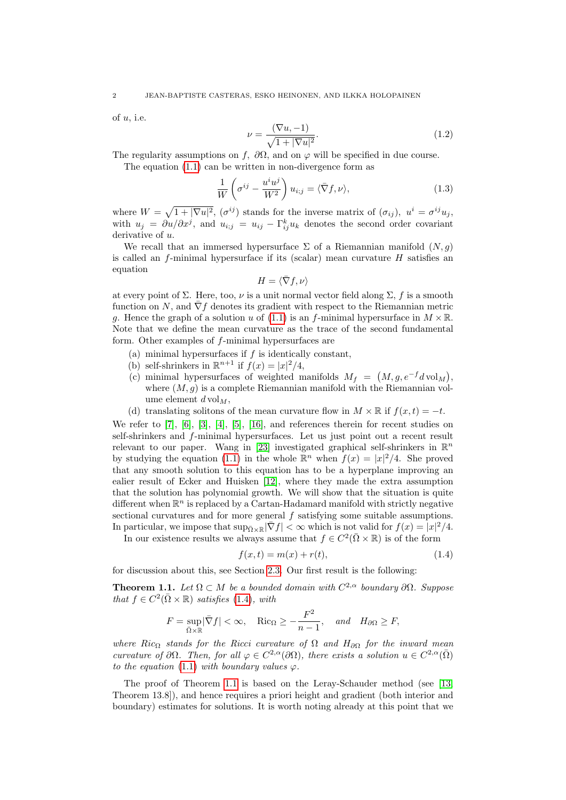of  $u$ , i.e.

<span id="page-1-2"></span>
$$
\nu = \frac{(\nabla u, -1)}{\sqrt{1 + |\nabla u|^2}}.
$$
\n(1.2)

The regularity assumptions on f,  $\partial\Omega$ , and on  $\varphi$  will be specified in due course.

The equation [\(1.1\)](#page-0-1) can be written in non-divergence form as

$$
\frac{1}{W}\left(\sigma^{ij} - \frac{u^i u^j}{W^2}\right)u_{i;j} = \langle \bar{\nabla}f, \nu \rangle,
$$
\n(1.3)

where  $W = \sqrt{1 + |\nabla u|^2}$ ,  $(\sigma^{ij})$  stands for the inverse matrix of  $(\sigma_{ij})$ ,  $u^i = \sigma^{ij} u_j$ , with  $u_j = \partial u / \partial x^j$ , and  $u_{i,j} = u_{ij} - \Gamma_{ij}^k u_k$  denotes the second order covariant derivative of  $u$ .

We recall that an immersed hypersurface  $\Sigma$  of a Riemannian manifold  $(N, q)$ is called an f-minimal hypersurface if its (scalar) mean curvature  $H$  satisfies an equation

$$
H = \langle \bar{\nabla} f, \nu \rangle
$$

at every point of  $\Sigma$ . Here, too,  $\nu$  is a unit normal vector field along  $\Sigma$ , f is a smooth function on N, and  $\bar{\nabla}f$  denotes its gradient with respect to the Riemannian metric q. Hence the graph of a solution u of [\(1.1\)](#page-0-1) is an f-minimal hypersurface in  $M \times \mathbb{R}$ . Note that we define the mean curvature as the trace of the second fundamental form. Other examples of f-minimal hypersurfaces are

- (a) minimal hypersurfaces if  $f$  is identically constant,
- (b) self-shrinkers in  $\mathbb{R}^{n+1}$  if  $f(x) = |x|^2/4$ ,
- (c) minimal hypersurfaces of weighted manifolds  $M_f = (M, g, e^{-f} d \text{vol}_M)$ , where  $(M, g)$  is a complete Riemannian manifold with the Riemannian volume element  $d \text{vol}_M$ ,
- (d) translating solitons of the mean curvature flow in  $M \times \mathbb{R}$  if  $f(x, t) = -t$ .

We refer to [\[7\]](#page-24-1), [\[6\]](#page-24-2), [\[3\]](#page-24-3), [\[4\]](#page-24-4), [\[5\]](#page-24-5), [\[16\]](#page-24-6), and references therein for recent studies on self-shrinkers and f-minimal hypersurfaces. Let us just point out a recent result relevant to our paper. Wang in [\[23\]](#page-24-7) investigated graphical self-shrinkers in  $\mathbb{R}^n$ by studying the equation [\(1.1\)](#page-0-1) in the whole  $\mathbb{R}^n$  when  $f(x) = |x|^2/4$ . She proved that any smooth solution to this equation has to be a hyperplane improving an ealier result of Ecker and Huisken [\[12\]](#page-24-8), where they made the extra assumption that the solution has polynomial growth. We will show that the situation is quite different when  $\mathbb{R}^n$  is replaced by a Cartan-Hadamard manifold with strictly negative sectional curvatures and for more general  $f$  satisfying some suitable assumptions. In particular, we impose that  $\sup_{\bar{\Omega} \times \mathbb{R}} |\bar{\nabla} f| < \infty$  which is not valid for  $f(x) = |x|^2/4$ .

In our existence results we always assume that  $f \in C^2(\overline{\Omega} \times \mathbb{R})$  is of the form

<span id="page-1-0"></span>
$$
f(x,t) = m(x) + r(t),
$$
\n(1.4)

for discussion about this, see Section [2.3.](#page-8-0) Our first result is the following:

<span id="page-1-1"></span>**Theorem 1.1.** Let  $\Omega \subset M$  be a bounded domain with  $C^{2,\alpha}$  boundary  $\partial\Omega$ . Suppose that  $f \in C^2(\overline{\Omega} \times \mathbb{R})$  satisfies [\(1.4\)](#page-1-0), with

$$
F = \sup_{\bar{\Omega}\times\mathbb{R}} |\bar{\nabla}f| < \infty, \quad \text{Ric}_{\Omega} \ge -\frac{F^2}{n-1}, \quad \text{and} \quad H_{\partial\Omega} \ge F,
$$

where Ric<sub>Ω</sub> stands for the Ricci curvature of  $\Omega$  and  $H_{\partial\Omega}$  for the inward mean curvature of  $\partial\Omega$ . Then, for all  $\varphi \in C^{2,\alpha}(\partial\Omega)$ , there exists a solution  $u \in C^{2,\alpha}(\overline{\Omega})$ to the equation [\(1.1\)](#page-0-1) with boundary values  $\varphi$ .

The proof of Theorem [1.1](#page-1-1) is based on the Leray-Schauder method (see [\[13,](#page-24-9) Theorem 13.8]), and hence requires a priori height and gradient (both interior and boundary) estimates for solutions. It is worth noting already at this point that we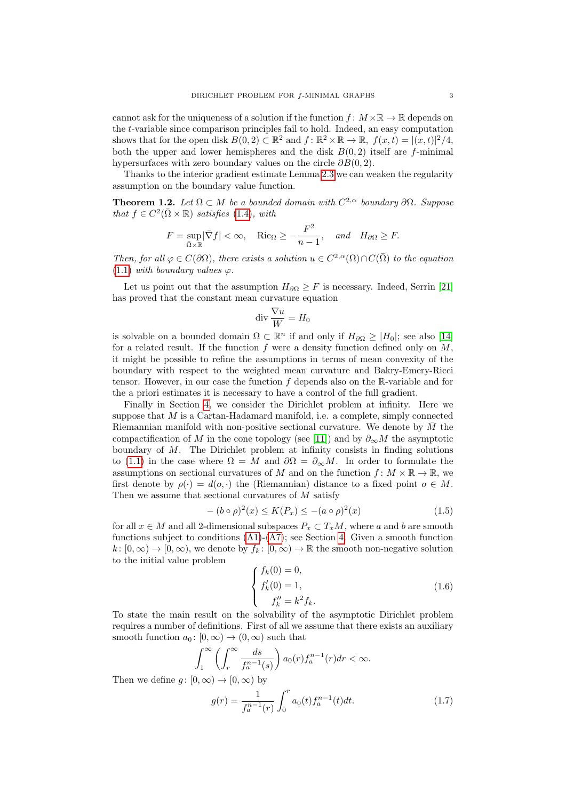cannot ask for the uniqueness of a solution if the function  $f: M \times \mathbb{R} \to \mathbb{R}$  depends on the t-variable since comparison principles fail to hold. Indeed, an easy computation shows that for the open disk  $B(0, 2) \subset \mathbb{R}^2$  and  $f: \mathbb{R}^2 \times \mathbb{R} \to \mathbb{R}$ ,  $f(x, t) = |(x, t)|^2/4$ , both the upper and lower hemispheres and the disk  $B(0, 2)$  itself are f-minimal hypersurfaces with zero boundary values on the circle  $\partial B(0, 2)$ .

Thanks to the interior gradient estimate Lemma [2.3](#page-8-1) we can weaken the regularity assumption on the boundary value function.

<span id="page-2-0"></span>**Theorem 1.2.** Let  $\Omega \subset M$  be a bounded domain with  $C^{2,\alpha}$  boundary  $\partial\Omega$ . Suppose that  $f \in C^2(\overline{\Omega} \times \mathbb{R})$  satisfies [\(1.4\)](#page-1-0), with

$$
F = \sup_{\bar{\Omega} \times \mathbb{R}} |\bar{\nabla} f| < \infty, \quad \text{Ric}_{\Omega} \ge -\frac{F^2}{n-1}, \quad \text{and} \quad H_{\partial \Omega} \ge F.
$$

Then, for all  $\varphi \in C(\partial \Omega)$ , there exists a solution  $u \in C^{2,\alpha}(\Omega) \cap C(\overline{\Omega})$  to the equation [\(1.1\)](#page-0-1) with boundary values  $\varphi$ .

Let us point out that the assumption  $H_{\partial\Omega} \geq F$  is necessary. Indeed, Serrin [\[21\]](#page-24-10) has proved that the constant mean curvature equation

$$
\operatorname{div} \frac{\nabla u}{W} = H_0
$$

is solvable on a bounded domain  $\Omega \subset \mathbb{R}^n$  if and only if  $H_{\partial\Omega} \geq |H_0|$ ; see also [\[14\]](#page-24-11) for a related result. If the function f were a density function defined only on  $M$ , it might be possible to refine the assumptions in terms of mean convexity of the boundary with respect to the weighted mean curvature and Bakry-Emery-Ricci tensor. However, in our case the function f depends also on the R-variable and for the a priori estimates it is necessary to have a control of the full gradient.

Finally in Section [4,](#page-14-0) we consider the Dirichlet problem at infinity. Here we suppose that  $M$  is a Cartan-Hadamard manifold, i.e. a complete, simply connected Riemannian manifold with non-positive sectional curvature. We denote by  $\overline{M}$  the compactification of M in the cone topology (see [\[11\]](#page-24-12)) and by  $\partial_{\infty}M$  the asymptotic boundary of M. The Dirichlet problem at infinity consists in finding solutions to [\(1.1\)](#page-0-1) in the case where  $\Omega = M$  and  $\partial \Omega = \partial_{\infty} M$ . In order to formulate the assumptions on sectional curvatures of M and on the function  $f: M \times \mathbb{R} \to \mathbb{R}$ , we first denote by  $\rho(\cdot) = d(o, \cdot)$  the (Riemannian) distance to a fixed point  $o \in M$ . Then we assume that sectional curvatures of M satisfy

$$
-(b \circ \rho)^{2}(x) \le K(P_{x}) \le -(a \circ \rho)^{2}(x) \tag{1.5}
$$

for all  $x \in M$  and all 2-dimensional subspaces  $P_x \subset T_xM$ , where a and b are smooth functions subject to conditions  $(A1)-(A7)$  $(A1)-(A7)$ ; see Section [4.](#page-14-0) Given a smooth function  $k: [0, \infty) \to [0, \infty)$ , we denote by  $f_k: [0, \infty) \to \mathbb{R}$  the smooth non-negative solution to the initial value problem

$$
\begin{cases}\nf_k(0) = 0, \\
f'_k(0) = 1, \\
f''_k = k^2 f_k.\n\end{cases}
$$
\n(1.6)

To state the main result on the solvability of the asymptotic Dirichlet problem requires a number of definitions. First of all we assume that there exists an auxiliary smooth function  $a_0: [0, \infty) \to (0, \infty)$  such that

$$
\int_1^{\infty} \left( \int_r^{\infty} \frac{ds}{f_a^{n-1}(s)} \right) a_0(r) f_a^{n-1}(r) dr < \infty.
$$

Then we define  $g: [0, \infty) \to [0, \infty)$  by

<span id="page-2-1"></span>
$$
g(r) = \frac{1}{f_a^{n-1}(r)} \int_0^r a_0(t) f_a^{n-1}(t) dt.
$$
 (1.7)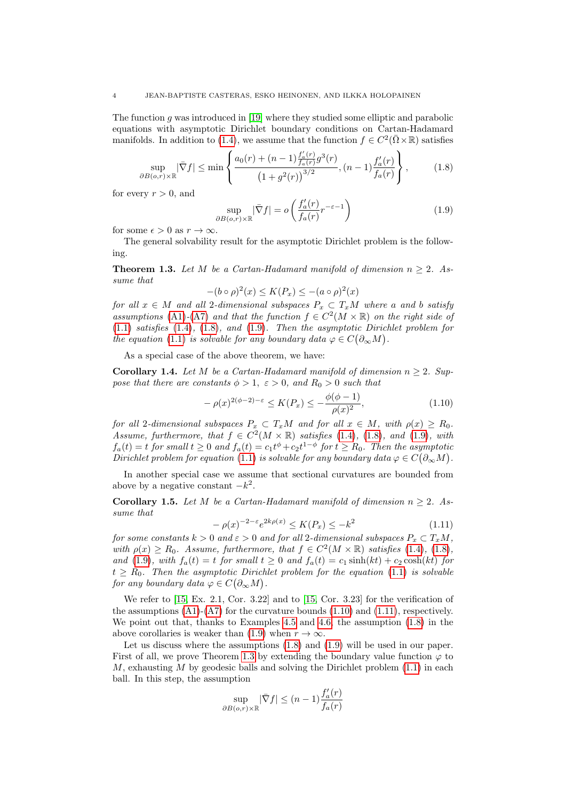The function g was introduced in [\[19\]](#page-24-13) where they studied some elliptic and parabolic equations with asymptotic Dirichlet boundary conditions on Cartan-Hadamard manifolds. In addition to [\(1.4\)](#page-1-0), we assume that the function  $f \in C^2(\bar{\Omega} \times \mathbb{R})$  satisfies

<span id="page-3-1"></span>
$$
\sup_{\partial B(o,r)\times\mathbb{R}} |\bar{\nabla}f| \le \min\left\{ \frac{a_0(r) + (n-1)\frac{f_a'(r)}{f_a(r)}g^3(r)}{\left(1+g^2(r)\right)^{3/2}}, (n-1)\frac{f_a'(r)}{f_a(r)}\right\},\tag{1.8}
$$

for every  $r > 0$ , and

<span id="page-3-2"></span>
$$
\sup_{\partial B(o,r)\times\mathbb{R}} |\bar{\nabla}f| = o\left(\frac{f_a'(r)}{f_a(r)}r^{-\varepsilon-1}\right)
$$
\n(1.9)

for some  $\epsilon > 0$  as  $r \to \infty$ .

The general solvability result for the asymptotic Dirichlet problem is the following.

<span id="page-3-0"></span>**Theorem 1.3.** Let M be a Cartan-Hadamard manifold of dimension  $n > 2$ . Assume that

$$
-(b \circ \rho)^2(x) \le K(P_x) \le -(a \circ \rho)^2(x)
$$

for all  $x \in M$  and all 2-dimensional subspaces  $P_x \subset T_xM$  where a and b satisfy assumptions [\(A1\)](#page-14-1)-[\(A7\)](#page-15-1) and that the function  $f \in C^2(M \times \mathbb{R})$  on the right side of [\(1.1\)](#page-0-1) satisfies [\(1.4\)](#page-1-0), [\(1.8\)](#page-3-1), and [\(1.9\)](#page-3-2). Then the asymptotic Dirichlet problem for the equation [\(1.1\)](#page-0-1) is solvable for any boundary data  $\varphi \in C(\partial_{\infty}M)$ .

As a special case of the above theorem, we have:

<span id="page-3-5"></span>Corollary 1.4. Let M be a Cartan-Hadamard manifold of dimension  $n \geq 2$ . Suppose that there are constants  $\phi > 1$ ,  $\varepsilon > 0$ , and  $R_0 > 0$  such that

<span id="page-3-3"></span>
$$
-\rho(x)^{2(\phi-2)-\varepsilon} \le K(P_x) \le -\frac{\phi(\phi-1)}{\rho(x)^2},
$$
\n(1.10)

for all 2-dimensional subspaces  $P_x \subset T_xM$  and for all  $x \in M$ , with  $\rho(x) \ge R_0$ . Assume, furthermore, that  $f \in C^2(M \times \mathbb{R})$  satisfies [\(1.4\)](#page-1-0), [\(1.8\)](#page-3-1), and [\(1.9\)](#page-3-2), with  $f_a(t) = t$  for small  $t \geq 0$  and  $f_a(t) = c_1 t^{\phi} + c_2 t^{1-\phi}$  for  $t \geq R_0$ . Then the asymptotic Dirichlet problem for equation [\(1.1\)](#page-0-1) is solvable for any boundary data  $\varphi \in C(\partial_{\infty}M)$ .

In another special case we assume that sectional curvatures are bounded from above by a negative constant  $-k^2$ .

<span id="page-3-6"></span>**Corollary 1.5.** Let M be a Cartan-Hadamard manifold of dimension  $n \geq 2$ . Assume that

<span id="page-3-4"></span>
$$
-\rho(x)^{-2-\varepsilon}e^{2k\rho(x)} \le K(P_x) \le -k^2\tag{1.11}
$$

for some constants  $k > 0$  and  $\varepsilon > 0$  and for all 2-dimensional subspaces  $P_x \subset T_xM$ , with  $\rho(x) \ge R_0$ . Assume, furthermore, that  $f \in C^2(M \times \mathbb{R})$  satisfies [\(1.4\)](#page-1-0), [\(1.8\)](#page-3-1), and [\(1.9\)](#page-3-2), with  $f_a(t) = t$  for small  $t \geq 0$  and  $f_a(t) = c_1 \sinh(kt) + c_2 \cosh(kt)$  for  $t \geq R_0$ . Then the asymptotic Dirichlet problem for the equation [\(1.1\)](#page-0-1) is solvable for any boundary data  $\varphi \in C(\partial_\infty M)$ .

We refer to  $[15, Ex. 2.1, Cor. 3.22]$  and to  $[15, Cor. 3.23]$  for the verification of the assumptions  $(A1)-(A7)$  $(A1)-(A7)$  for the curvature bounds  $(1.10)$  and  $(1.11)$ , respectively. We point out that, thanks to Examples [4.5](#page-21-1) and [4.6,](#page-21-2) the assumption [\(1.8\)](#page-3-1) in the above corollaries is weaker than [\(1.9\)](#page-3-2) when  $r \to \infty$ .

Let us discuss where the assumptions [\(1.8\)](#page-3-1) and [\(1.9\)](#page-3-2) will be used in our paper. First of all, we prove Theorem [1.3](#page-3-0) by extending the boundary value function  $\varphi$  to M, exhausting M by geodesic balls and solving the Dirichlet problem  $(1.1)$  in each ball. In this step, the assumption

$$
\sup_{\partial B(o,r)\times\mathbb{R}}|\bar{\nabla}f|\leq (n-1)\frac{f_a'(r)}{f_a(r)}
$$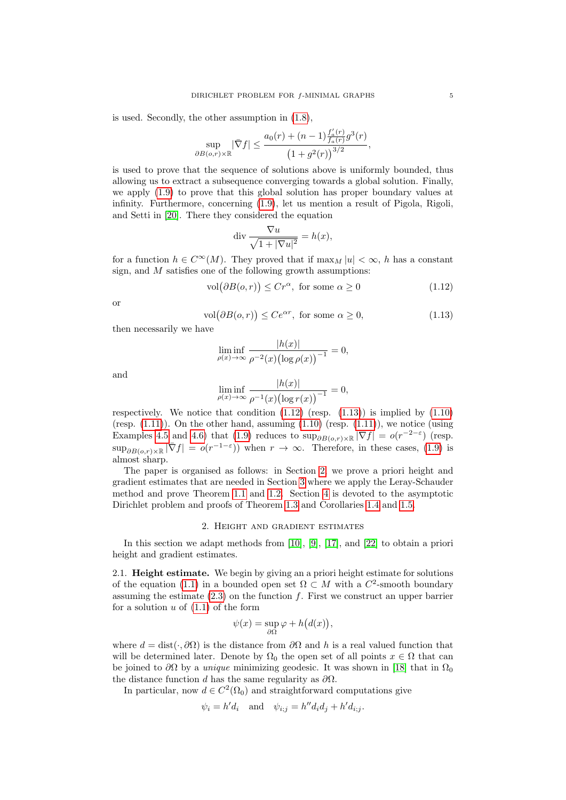is used. Secondly, the other assumption in [\(1.8\)](#page-3-1),

$$
\sup_{\partial B(o,r)\times\mathbb{R}} |\bar{\nabla} f| \le \frac{a_0(r) + (n-1)\frac{f_a'(r)}{f_a(r)}g^3(r)}{\left(1+g^2(r)\right)^{3/2}},
$$

is used to prove that the sequence of solutions above is uniformly bounded, thus allowing us to extract a subsequence converging towards a global solution. Finally, we apply [\(1.9\)](#page-3-2) to prove that this global solution has proper boundary values at infinity. Furthermore, concerning [\(1.9\)](#page-3-2), let us mention a result of Pigola, Rigoli, and Setti in [\[20\]](#page-24-15). There they considered the equation

$$
\operatorname{div} \frac{\nabla u}{\sqrt{1+|\nabla u|^2}} = h(x),
$$

for a function  $h \in C^{\infty}(M)$ . They proved that if  $\max_M |u| < \infty$ , h has a constant sign, and M satisfies one of the following growth assumptions:

<span id="page-4-2"></span>
$$
\text{vol}(\partial B(o, r)) \le Cr^{\alpha}, \text{ for some } \alpha \ge 0 \tag{1.12}
$$

or

<span id="page-4-3"></span>
$$
\text{vol}(\partial B(o, r)) \le Ce^{\alpha r}, \text{ for some } \alpha \ge 0,
$$
\n(1.13)

then necessarily we have

$$
\liminf_{\rho(x)\to\infty}\frac{|h(x)|}{\rho^{-2}(x)\bigl(\log\rho(x)\bigr)^{-1}}=0,
$$

and

$$
\liminf_{\rho(x)\to\infty}\frac{|h(x)|}{\rho^{-1}(x)\bigl(\log r(x)\bigr)^{-1}}=0,
$$

respectively. We notice that condition  $(1.12)$  (resp.  $(1.13)$ ) is implied by  $(1.10)$ (resp.  $(1.11)$ ). On the other hand, assuming  $(1.10)$  (resp.  $(1.11)$ ), we notice (using Examples [4.5](#page-21-1) and [4.6\)](#page-21-2) that [\(1.9\)](#page-3-2) reduces to  $\sup_{\partial B(o,r)\times \mathbb{R}}|\overline{\nabla}f| = o(r^{-2-\epsilon})$  (resp.  $\sup_{\partial B(o,r)\times\mathbb{R}}|\bar{\nabla}f| = o(r^{-1-\varepsilon})$  when  $r \to \infty$ . Therefore, in these cases, [\(1.9\)](#page-3-2) is almost sharp.

The paper is organised as follows: in Section [2,](#page-4-0) we prove a priori height and gradient estimates that are needed in Section [3](#page-12-0) where we apply the Leray-Schauder method and prove Theorem [1.1](#page-1-1) and [1.2.](#page-2-0) Section [4](#page-14-0) is devoted to the asymptotic Dirichlet problem and proofs of Theorem [1.3](#page-3-0) and Corollaries [1.4](#page-3-5) and [1.5.](#page-3-6)

#### 2. Height and gradient estimates

<span id="page-4-0"></span>In this section we adapt methods from [\[10\]](#page-24-16), [\[9\]](#page-24-17), [\[17\]](#page-24-18), and [\[22\]](#page-24-19) to obtain a priori height and gradient estimates.

<span id="page-4-1"></span>2.1. Height estimate. We begin by giving an a priori height estimate for solutions of the equation [\(1.1\)](#page-0-1) in a bounded open set  $\Omega \subset M$  with a  $C^2$ -smooth boundary assuming the estimate  $(2.3)$  on the function f. First we construct an upper barrier for a solution  $u$  of  $(1.1)$  of the form

$$
\psi(x) = \sup_{\partial \Omega} \varphi + h\big(d(x)\big),
$$

where  $d = \text{dist}(\cdot, \partial \Omega)$  is the distance from  $\partial \Omega$  and h is a real valued function that will be determined later. Denote by  $\Omega_0$  the open set of all points  $x \in \Omega$  that can be joined to  $\partial\Omega$  by a *unique* minimizing geodesic. It was shown in [\[18\]](#page-24-20) that in  $\Omega_0$ the distance function d has the same regularity as  $\partial\Omega$ .

In particular, now  $d \in C^2(\Omega_0)$  and straightforward computations give

$$
\psi_i = h'd_i
$$
 and  $\psi_{i;j} = h''d_id_j + h'd_{i;j}$ .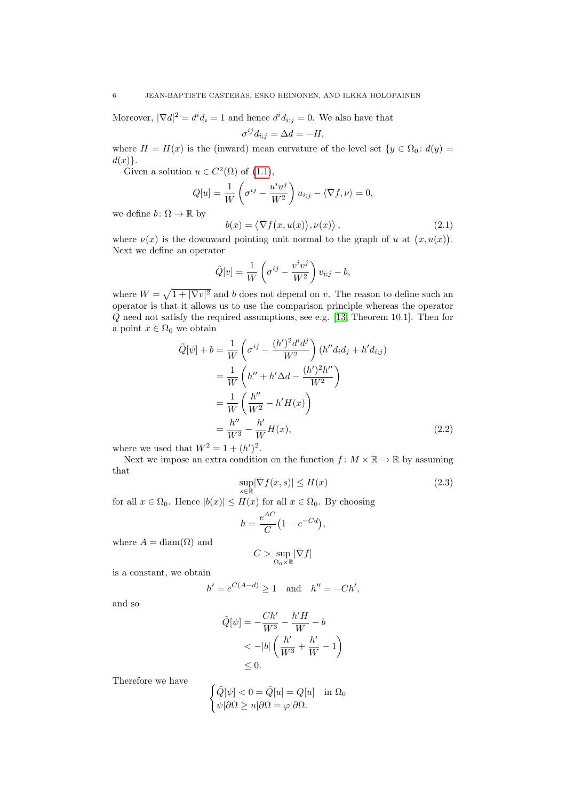Moreover,  $|\nabla d|^2 = d^i d_i = 1$  and hence  $d^i d_{i,j} = 0$ . We also have that

$$
\sigma^{ij} d_{i;j} = \Delta d = -H,
$$

where  $H = H(x)$  is the (inward) mean curvature of the level set  $\{y \in \Omega_0 : d(y) =$  $d(x)$ .

Given a solution  $u \in C^2(\Omega)$  of  $(1.1)$ ,

$$
Q[u] = \frac{1}{W} \left( \sigma^{ij} - \frac{u^i u^j}{W^2} \right) u_{i;j} - \langle \bar{\nabla} f, \nu \rangle = 0,
$$

we define  $b: \Omega \to \mathbb{R}$  by

<span id="page-5-1"></span>
$$
b(x) = \langle \bar{\nabla} f(x, u(x)), \nu(x) \rangle, \qquad (2.1)
$$

where  $\nu(x)$  is the downward pointing unit normal to the graph of u at  $(x, u(x))$ . Next we define an operator

$$
\tilde{Q}[v] = \frac{1}{W} \left( \sigma^{ij} - \frac{v^i v^j}{W^2} \right) v_{i;j} - b,
$$

where  $W = \sqrt{1 + |\nabla v|^2}$  and b does not depend on v. The reason to define such an operator is that it allows us to use the comparison principle whereas the operator Q need not satisfy the required assumptions, see e.g. [\[13,](#page-24-9) Theorem 10.1]. Then for a point  $x \in \Omega_0$  we obtain

$$
\tilde{Q}[\psi] + b = \frac{1}{W} \left( \sigma^{ij} - \frac{(h')^2 d^i d^j}{W^2} \right) (h'' d_i d_j + h' d_{i;j}) \n= \frac{1}{W} \left( h'' + h' \Delta d - \frac{(h')^2 h''}{W^2} \right) \n= \frac{1}{W} \left( \frac{h''}{W^2} - h' H(x) \right) \n= \frac{h''}{W^3} - \frac{h'}{W} H(x),
$$
\n(2.2)

where we used that  $W^2 = 1 + (h')^2$ .

Next we impose an extra condition on the function  $f: M \times \mathbb{R} \to \mathbb{R}$  by assuming that

<span id="page-5-0"></span>
$$
\sup_{s \in \mathbb{R}} |\bar{\nabla} f(x, s)| \le H(x) \tag{2.3}
$$

for all  $x \in \Omega_0$ . Hence  $|b(x)| \leq H(x)$  for all  $x \in \Omega_0$ . By choosing

$$
h = \frac{e^{AC}}{C} \left( 1 - e^{-Cd} \right),
$$

where  $A = \text{diam}(\Omega)$  and

$$
C > \sup_{\Omega_0 \times \mathbb{R}} |\bar{\nabla} f|
$$

is a constant, we obtain

$$
h' = e^{C(A-d)} \ge 1 \quad \text{and} \quad h'' = -Ch',
$$

and so

$$
\tilde{Q}[\psi] = -\frac{Ch'}{W^3} - \frac{h'H}{W} - b
$$
  
< 
$$
< -|b| \left( \frac{h'}{W^3} + \frac{h'}{W} - 1 \right)
$$
  

$$
\leq 0.
$$

Therefore we have

$$
\begin{cases} \tilde{Q}[\psi] < 0 = \tilde{Q}[u] = Q[u] & \text{in } \Omega_0 \\ \psi|\partial\Omega \ge u|\partial\Omega = \varphi|\partial\Omega. \end{cases}
$$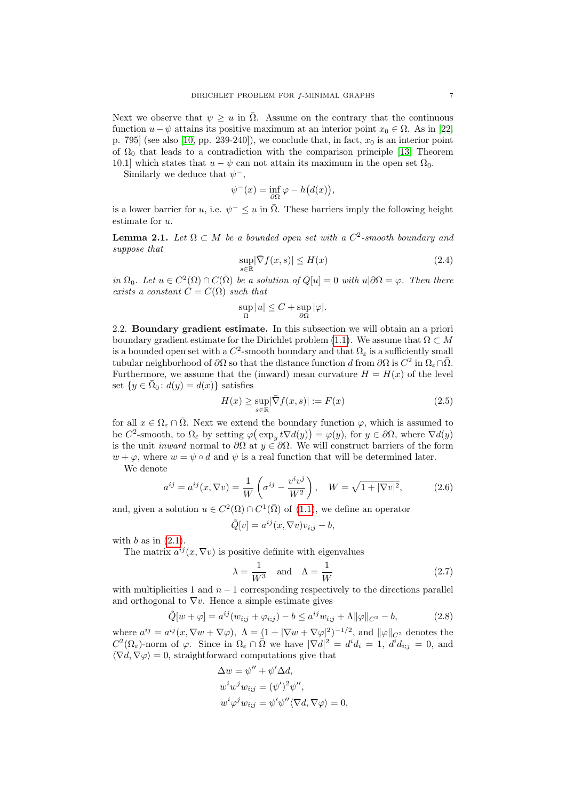Next we observe that  $\psi \geq u$  in  $\overline{\Omega}$ . Assume on the contrary that the continuous function  $u - \psi$  attains its positive maximum at an interior point  $x_0 \in \Omega$ . As in [\[22,](#page-24-19) p. 795] (see also [\[10,](#page-24-16) pp. 239-240]), we conclude that, in fact,  $x_0$  is an interior point of  $\Omega_0$  that leads to a contradiction with the comparison principle [\[13,](#page-24-9) Theorem 10.1] which states that  $u - \psi$  can not attain its maximum in the open set  $\Omega_0$ .

Similarly we deduce that  $\psi^-,$ 

$$
\psi^{-}(x) = \inf_{\partial \Omega} \varphi - h\big(d(x)\big),
$$

is a lower barrier for u, i.e.  $\psi^- \leq u$  in  $\overline{\Omega}$ . These barriers imply the following height estimate for u.

<span id="page-6-4"></span>**Lemma 2.1.** Let  $\Omega \subset M$  be a bounded open set with a  $C^2$ -smooth boundary and suppose that

<span id="page-6-6"></span>
$$
\sup_{s \in \mathbb{R}} |\bar{\nabla} f(x, s)| \le H(x) \tag{2.4}
$$

in  $\Omega_0$ . Let  $u \in C^2(\Omega) \cap C(\overline{\Omega})$  be a solution of  $Q[u] = 0$  with  $u | \partial \Omega = \varphi$ . Then there exists a constant  $C = C(\Omega)$  such that

$$
\sup_{\Omega}|u|\leq C+\sup_{\partial\Omega}|\varphi|.
$$

<span id="page-6-0"></span>2.2. Boundary gradient estimate. In this subsection we will obtain an a priori boundary gradient estimate for the Dirichlet problem [\(1.1\)](#page-0-1). We assume that  $\Omega \subset M$ is a bounded open set with a  $C^2$ -smooth boundary and that  $\Omega_{\varepsilon}$  is a sufficiently small tubular neighborhood of  $\partial\Omega$  so that the distance function d from  $\partial\Omega$  is  $C^2$  in  $\Omega_\varepsilon \cap \overline{\Omega}$ . Furthermore, we assume that the (inward) mean curvature  $H = H(x)$  of the level set  $\{y \in \overline{\Omega}_0 : d(y) = d(x)\}\$ satisfies

<span id="page-6-2"></span>
$$
H(x) \ge \sup_{s \in \mathbb{R}} |\bar{\nabla} f(x, s)| := F(x)
$$
\n(2.5)

for all  $x \in \Omega_{\varepsilon} \cap \overline{\Omega}$ . Next we extend the boundary function  $\varphi$ , which is assumed to be C<sup>2</sup>-smooth, to  $\Omega_{\varepsilon}$  by setting  $\varphi(\exp_y t \nabla d(y)) = \varphi(y)$ , for  $y \in \partial \Omega$ , where  $\nabla d(y)$ is the unit *inward* normal to  $\partial\Omega$  at  $y \in \partial\Omega$ . We will construct barriers of the form  $w + \varphi$ , where  $w = \psi \circ d$  and  $\psi$  is a real function that will be determined later.

We denote

<span id="page-6-5"></span>
$$
a^{ij} = a^{ij}(x, \nabla v) = \frac{1}{W} \left( \sigma^{ij} - \frac{v^i v^j}{W^2} \right), \quad W = \sqrt{1 + |\nabla v|^2}, \tag{2.6}
$$

and, given a solution  $u \in C^2(\Omega) \cap C^1(\overline{\Omega})$  of  $(1.1)$ , we define an operator

$$
\tilde{Q}[v] = a^{ij}(x, \nabla v)v_{i;j} - b,
$$

with  $b$  as in  $(2.1)$ .

The matrix  $a^{ij}(x, \nabla v)$  is positive definite with eigenvalues

<span id="page-6-3"></span>
$$
\lambda = \frac{1}{W^3} \quad \text{and} \quad \Lambda = \frac{1}{W} \tag{2.7}
$$

with multiplicities 1 and  $n-1$  corresponding respectively to the directions parallel and orthogonal to  $\nabla v$ . Hence a simple estimate gives

<span id="page-6-1"></span>
$$
\tilde{Q}[w + \varphi] = a^{ij}(w_{i;j} + \varphi_{i;j}) - b \le a^{ij}w_{i;j} + \Lambda \|\varphi\|_{C^2} - b,\tag{2.8}
$$

where  $a^{ij} = a^{ij}(x, \nabla w + \nabla \varphi)$ ,  $\Lambda = (1 + |\nabla w + \nabla \varphi|^2)^{-1/2}$ , and  $\|\varphi\|_{C^2}$  denotes the  $C^2(\Omega_{\varepsilon})$ -norm of  $\varphi$ . Since in  $\Omega_{\varepsilon} \cap \overrightarrow{\Omega}$  we have  $|\nabla d|^2 = d^i d_i = 1$ ,  $d^i d_{i,j} = 0$ , and  $\langle \nabla d, \nabla \varphi \rangle = 0$ , straightforward computations give that

$$
\Delta w = \psi'' + \psi' \Delta d,
$$
  
\n
$$
w^i w^j w_{i;j} = (\psi')^2 \psi'',
$$
  
\n
$$
w^i \varphi^j w_{i;j} = \psi' \psi'' \langle \nabla d, \nabla \varphi \rangle = 0,
$$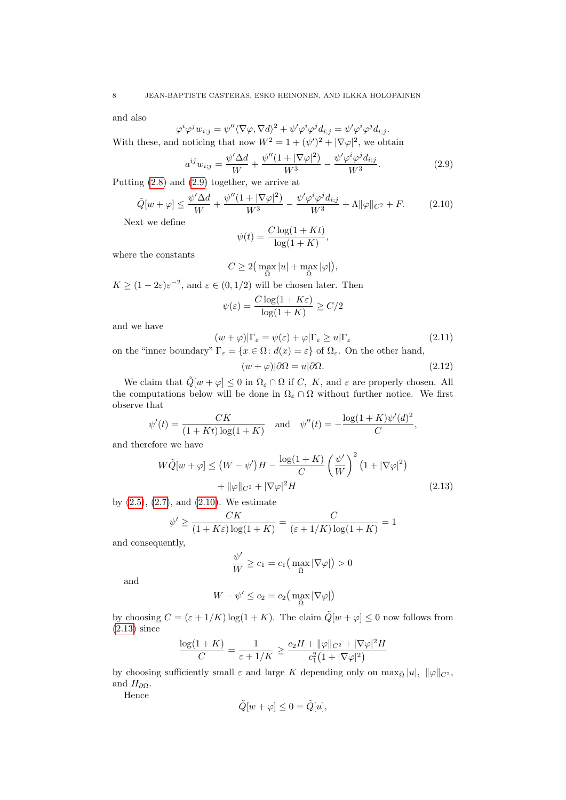and also

$$
\varphi^i \varphi^j w_{i;j} = \psi'' \langle \nabla \varphi, \nabla d \rangle^2 + \psi' \varphi^i \varphi^j d_{i;j} = \psi' \varphi^i \varphi^j d_{i;j}.
$$

With these, and noticing that now  $W^2 = 1 + (\psi')^2 + |\nabla \varphi|^2$ , we obtain

$$
a^{ij}w_{i;j} = \frac{\psi'\Delta d}{W} + \frac{\psi''(1+|\nabla\varphi|^2)}{W^3} - \frac{\psi'\varphi^i\varphi^j d_{i;j}}{W^3}.
$$
 (2.9)

Putting [\(2.8\)](#page-6-1) and [\(2.9\)](#page-7-0) together, we arrive at

<span id="page-7-1"></span>
$$
\tilde{Q}[w+\varphi] \le \frac{\psi'\Delta d}{W} + \frac{\psi''(1+|\nabla\varphi|^2)}{W^3} - \frac{\psi'\varphi^i\varphi^j d_{i;j}}{W^3} + \Lambda \|\varphi\|_{C^2} + F. \tag{2.10}
$$

Next we define

<span id="page-7-0"></span>
$$
\psi(t) = \frac{C \log(1+Kt)}{\log(1+K)},
$$

where the constants

$$
C\geq 2\big(\max_{\bar{\Omega}}|u|+\max_{\bar{\Omega}}|\varphi|\big),
$$

 $K \geq (1-2\varepsilon)\varepsilon^{-2}$ , and  $\varepsilon \in (0,1/2)$  will be chosen later. Then

$$
\psi(\varepsilon) = \frac{C \log(1 + K\varepsilon)}{\log(1 + K)} \ge C/2
$$

and we have

$$
(w + \varphi)|\Gamma_{\varepsilon} = \psi(\varepsilon) + \varphi|\Gamma_{\varepsilon} \ge u|\Gamma_{\varepsilon}
$$
\n(2.11)

on the "inner boundary"  $\Gamma_{\varepsilon} = \{x \in \Omega : d(x) = \varepsilon\}$  of  $\Omega_{\varepsilon}$ . On the other hand,

$$
(w + \varphi)|\partial\Omega = u|\partial\Omega. \tag{2.12}
$$

We claim that  $\tilde{Q}[w + \varphi] \leq 0$  in  $\Omega_{\varepsilon} \cap \Omega$  if C, K, and  $\varepsilon$  are properly chosen. All the computations below will be done in  $\Omega_{\varepsilon} \cap \Omega$  without further notice. We first observe that

$$
\psi'(t) = \frac{CK}{(1+Kt)\log(1+K)}
$$
 and  $\psi''(t) = -\frac{\log(1+K)\psi'(d)^2}{C}$ ,

and therefore we have

$$
W\tilde{Q}[w+\varphi] \le (W-\psi')H - \frac{\log(1+K)}{C} \left(\frac{\psi'}{W}\right)^2 (1+|\nabla\varphi|^2)
$$
  
 
$$
+ \|\varphi\|_{C^2} + |\nabla\varphi|^2 H \qquad (2.13)
$$

by [\(2.5\)](#page-6-2), [\(2.7\)](#page-6-3), and [\(2.10\)](#page-7-1). We estimate

$$
\psi' \ge \frac{CK}{(1 + K\varepsilon)\log(1 + K)} = \frac{C}{(\varepsilon + 1/K)\log(1 + K)} = 1
$$

and consequently,

<span id="page-7-2"></span>
$$
\frac{\psi'}{W} \ge c_1 = c_1 \left( \max_{\overline{\Omega}} |\nabla \varphi| \right) > 0
$$

and

$$
W - \psi' \le c_2 = c_2 \left( \max_{\overline{\Omega}} |\nabla \varphi| \right)
$$

by choosing  $C = (\varepsilon + 1/K) \log(1 + K)$ . The claim  $\tilde{Q}[w + \varphi] \leq 0$  now follows from [\(2.13\)](#page-7-2) since

$$
\frac{\log(1+K)}{C} = \frac{1}{\varepsilon + 1/K} \ge \frac{c_2H + ||\varphi||_{C^2} + |\nabla \varphi|^2 H}{c_1^2 (1 + |\nabla \varphi|^2)}
$$

by choosing sufficiently small  $\varepsilon$  and large K depending only on  $\max_{\bar{\Omega}}|u|, \|\varphi\|_{C^2}$ , and  $H_{\partial\Omega}$ .

Hence

$$
\tilde{Q}[w+\varphi] \le 0 = \tilde{Q}[u],
$$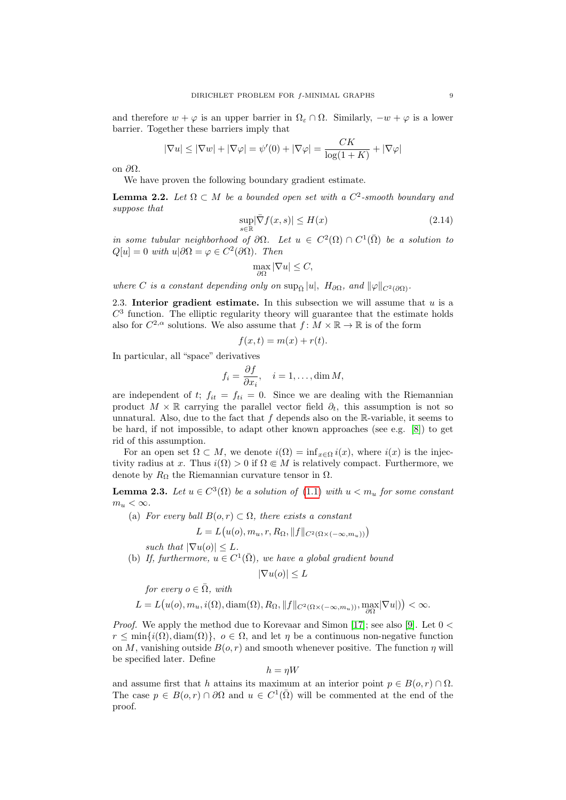and therefore  $w + \varphi$  is an upper barrier in  $\Omega_{\varepsilon} \cap \Omega$ . Similarly,  $-w + \varphi$  is a lower barrier. Together these barriers imply that

$$
|\nabla u| \le |\nabla w| + |\nabla \varphi| = \psi'(0) + |\nabla \varphi| = \frac{CK}{\log(1+K)} + |\nabla \varphi|
$$

on ∂Ω.

We have proven the following boundary gradient estimate.

<span id="page-8-2"></span>**Lemma 2.2.** Let  $\Omega \subset M$  be a bounded open set with a  $C^2$ -smooth boundary and suppose that

<span id="page-8-3"></span>
$$
\sup_{s \in \mathbb{R}} |\bar{\nabla} f(x, s)| \le H(x) \tag{2.14}
$$

in some tubular neighborhood of  $\partial\Omega$ . Let  $u \in C^2(\Omega) \cap C^1(\overline{\Omega})$  be a solution to  $Q[u] = 0$  with  $u|\partial\Omega = \varphi \in C^2(\partial\Omega)$ . Then

$$
\max_{\partial \Omega} |\nabla u| \leq C,
$$

where C is a constant depending only on sup<sub>0</sub> |u|,  $H_{\partial\Omega}$ , and  $\|\varphi\|_{C^2(\partial\Omega)}$ .

<span id="page-8-0"></span>2.3. Interior gradient estimate. In this subsection we will assume that  $u$  is a  $C<sup>3</sup>$  function. The elliptic regularity theory will guarantee that the estimate holds also for  $C^{2,\alpha}$  solutions. We also assume that  $f: M \times \mathbb{R} \to \mathbb{R}$  is of the form

$$
f(x,t) = m(x) + r(t).
$$

In particular, all "space" derivatives

$$
f_i = \frac{\partial f}{\partial x_i}, \quad i = 1, \dots, \dim M,
$$

are independent of t;  $f_{it} = f_{ti} = 0$ . Since we are dealing with the Riemannian product  $M \times \mathbb{R}$  carrying the parallel vector field  $\partial_t$ , this assumption is not so unnatural. Also, due to the fact that  $f$  depends also on the R-variable, it seems to be hard, if not impossible, to adapt other known approaches (see e.g. [\[8\]](#page-24-21)) to get rid of this assumption.

For an open set  $\Omega \subset M$ , we denote  $i(\Omega) = \inf_{x \in \Omega} i(x)$ , where  $i(x)$  is the injectivity radius at x. Thus  $i(\Omega) > 0$  if  $\Omega \in M$  is relatively compact. Furthermore, we denote by  $R_{\Omega}$  the Riemannian curvature tensor in  $\Omega$ .

<span id="page-8-1"></span>**Lemma 2.3.** Let  $u \in C^3(\Omega)$  be a solution of  $(1.1)$  with  $u < m_u$  for some constant  $m_u < \infty$ .

(a) For every ball  $B(o, r) \subset \Omega$ , there exists a constant

$$
L = L(u(o), m_u, r, R_{\Omega}, ||f||_{C^2(\Omega \times (-\infty, m_u)))})
$$

such that  $|\nabla u(\rho)| \leq L$ .

(b) If, furthermore,  $u \in C^1(\overline{\Omega})$ , we have a global gradient bound

$$
|\nabla u(o)| \leq L
$$

for every  $o \in \overline{\Omega}$ , with

$$
L = L(u(o), m_u, i(\Omega), \text{diam}(\Omega), R_{\Omega}, ||f||_{C^2(\Omega \times (-\infty, m_u))}, \max_{\partial \Omega} |\nabla u|) \leq \infty.
$$

*Proof.* We apply the method due to Korevaar and Simon [\[17\]](#page-24-18); see also [\[9\]](#page-24-17). Let  $0 <$  $r \leq \min\{i(\Omega), \text{diam}(\Omega)\}\$ ,  $o \in \Omega$ , and let  $\eta$  be a continuous non-negative function on M, vanishing outside  $B(o, r)$  and smooth whenever positive. The function  $\eta$  will be specified later. Define

$$
h = \eta W
$$

and assume first that h attains its maximum at an interior point  $p \in B(o, r) \cap \Omega$ . The case  $p \in B(0, r) \cap \partial\Omega$  and  $u \in C^1(\overline{\Omega})$  will be commented at the end of the proof.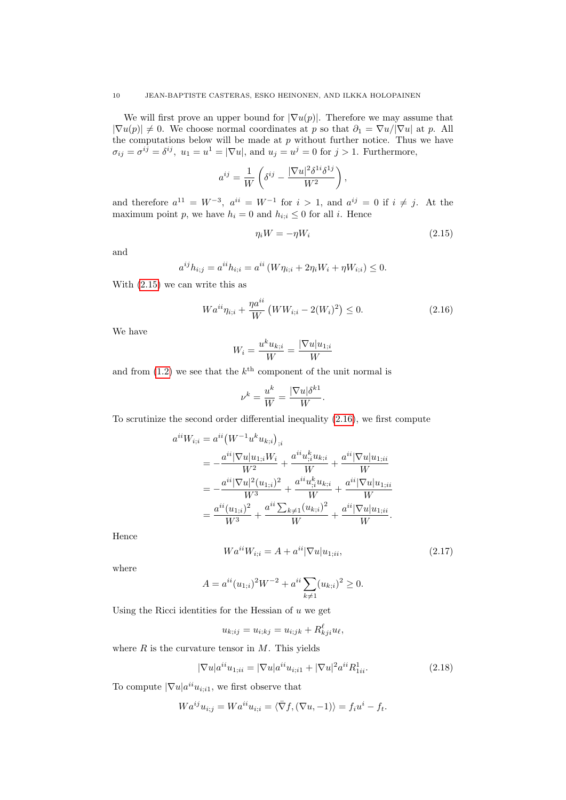We will first prove an upper bound for  $|\nabla u(p)|$ . Therefore we may assume that  $|\nabla u(p)| \neq 0$ . We choose normal coordinates at p so that  $\partial_1 = \nabla u / |\nabla u|$  at p. All the computations below will be made at  $p$  without further notice. Thus we have  $\sigma_{ij} = \sigma^{ij} = \delta^{ij}, u_1 = u^1 = |\nabla u|$ , and  $u_j = u^j = 0$  for  $j > 1$ . Furthermore,

$$
a^{ij} = \frac{1}{W} \left( \delta^{ij} - \frac{|\nabla u|^2 \delta^{1i} \delta^{1j}}{W^2} \right),\,
$$

and therefore  $a^{11} = W^{-3}$ ,  $a^{ii} = W^{-1}$  for  $i > 1$ , and  $a^{ij} = 0$  if  $i \neq j$ . At the maximum point p, we have  $h_i = 0$  and  $h_{i:i} \leq 0$  for all i. Hence

<span id="page-9-0"></span>
$$
\eta_i W = -\eta W_i \tag{2.15}
$$

and

$$
a^{ij}h_{i;j} = a^{ii}h_{i;i} = a^{ii} \left(W\eta_{i;i} + 2\eta_i W_i + \eta W_{i;i}\right) \le 0.
$$

With [\(2.15\)](#page-9-0) we can write this as

<span id="page-9-1"></span>
$$
Wa^{ii}\eta_{i;i} + \frac{\eta a^{ii}}{W} \left( WW_{i;i} - 2(W_i)^2 \right) \le 0. \tag{2.16}
$$

We have

$$
W_i = \frac{u^k u_{k;i}}{W} = \frac{|\nabla u| u_{1;i}}{W}
$$

and from  $(1.2)$  we see that the  $k^{\text{th}}$  component of the unit normal is

$$
\nu^k = \frac{u^k}{W} = \frac{|\nabla u| \delta^{k1}}{W}.
$$

To scrutinize the second order differential inequality [\(2.16\)](#page-9-1), we first compute

$$
a^{ii}W_{i;i} = a^{ii} (W^{-1}u^{k}u_{k;i})_{;i}
$$
  
=  $-\frac{a^{ii}|\nabla u|u_{1;i}W_i}{W^2} + \frac{a^{ii}u_{;i}^{k}u_{k;i}}{W} + \frac{a^{ii}|\nabla u|u_{1;ii}}{W}$   
=  $-\frac{a^{ii}|\nabla u|^2(u_{1;i})^2}{W^3} + \frac{a^{ii}u_{;i}^{k}u_{k;i}}{W} + \frac{a^{ii}|\nabla u|u_{1;ii}}{W}$   
=  $\frac{a^{ii}(u_{1;i})^2}{W^3} + \frac{a^{ii}\sum_{k\neq 1}(u_{k;i})^2}{W} + \frac{a^{ii}|\nabla u|u_{1;ii}}{W}.$ 

Hence

<span id="page-9-2"></span>
$$
Wa^{ii}W_{i;i} = A + a^{ii}|\nabla u|u_{1;ii},
$$
\n(2.17)

where

$$
A = a^{ii}(u_{1;i})^2 W^{-2} + a^{ii} \sum_{k \neq 1} (u_{k;i})^2 \geq 0.
$$

Using the Ricci identities for the Hessian of  $u$  we get

$$
u_{k;ij} = u_{i;kj} = u_{i;jk} + R_{kji}^{\ell} u_{\ell},
$$

where  $R$  is the curvature tensor in  $M$ . This yields

<span id="page-9-3"></span>
$$
|\nabla u|a^{ii}u_{1;ii} = |\nabla u|a^{ii}u_{i;ii} + |\nabla u|^2 a^{ii} R_{1ii}^1.
$$
 (2.18)

To compute  $|\nabla u|a^{ii}u_{i;i1}$ , we first observe that

$$
Wa^{ij}u_{i;j} = Wa^{ii}u_{i;i} = \langle \bar{\nabla}f, (\nabla u, -1) \rangle = f_i u^i - f_t.
$$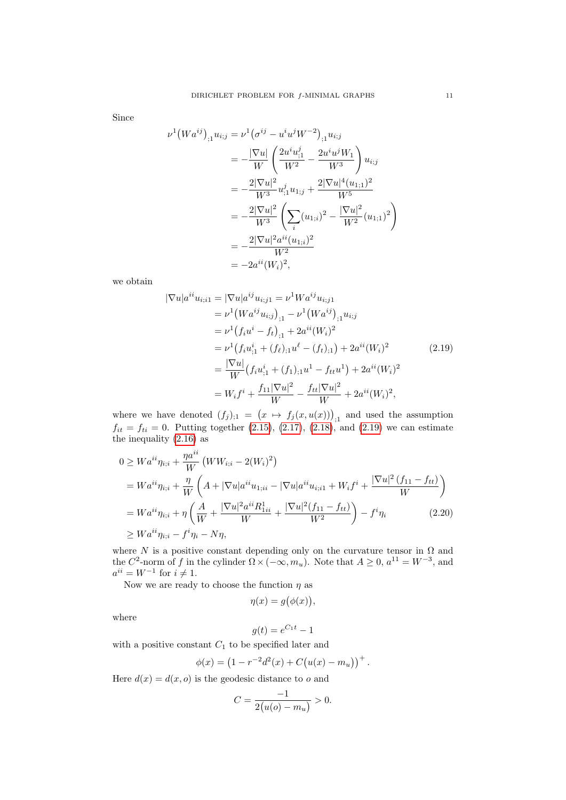Since

$$
\nu^{1} (Wa^{ij})_{;1} u_{i;j} = \nu^{1} (\sigma^{ij} - u^{i} u^{j} W^{-2})_{;1} u_{i;j}
$$
\n
$$
= -\frac{|\nabla u|}{W} \left( \frac{2u^{i} u_{;1}^{j}}{W^{2}} - \frac{2u^{i} u^{j} W_{1}}{W^{3}} \right) u_{i;j}
$$
\n
$$
= -\frac{2|\nabla u|^{2}}{W^{3}} u_{;1}^{j} u_{1;j} + \frac{2|\nabla u|^{4} (u_{1;1})^{2}}{W^{5}}
$$
\n
$$
= -\frac{2|\nabla u|^{2}}{W^{3}} \left( \sum_{i} (u_{1;i})^{2} - \frac{|\nabla u|^{2}}{W^{2}} (u_{1;1})^{2} \right)
$$
\n
$$
= -\frac{2|\nabla u|^{2} a^{ii} (u_{1;i})^{2}}{W^{2}}
$$
\n
$$
= -2a^{ii} (W_{i})^{2},
$$

we obtain

<span id="page-10-0"></span>
$$
|\nabla u|a^{ii}u_{i;i1} = |\nabla u|a^{ij}u_{i;j1} = \nu^1 Wa^{ij}u_{i;j1}
$$
  
\n
$$
= \nu^1 (Wa^{ij}u_{i;j})_{;1} - \nu^1 (Wa^{ij})_{;1}u_{i;j}
$$
  
\n
$$
= \nu^1 (f_iu^i - f_{t})_{;1} + 2a^{ii}(W_i)^2
$$
  
\n
$$
= \nu^1 (f_iu^i_{;1} + (f_{\ell})_{;1}u^{\ell} - (f_{t})_{;1}) + 2a^{ii}(W_i)^2
$$
  
\n
$$
= \frac{|\nabla u|}{W} (f_iu^i_{;1} + (f_{1})_{;1}u^1 - f_{tt}u^1) + 2a^{ii}(W_i)^2
$$
  
\n
$$
= W_if^i + \frac{f_{11}|\nabla u|^2}{W} - \frac{f_{tt}|\nabla u|^2}{W} + 2a^{ii}(W_i)^2,
$$

where we have denoted  $(f_j)_{;1} = (x \mapsto f_j(x, u(x)))_{;1}$  and used the assumption  $f_{it} = f_{ti} = 0$ . Putting together [\(2.15\)](#page-9-0), [\(2.17\)](#page-9-2), [\(2.18\)](#page-9-3), and [\(2.19\)](#page-10-0) we can estimate the inequality [\(2.16\)](#page-9-1) as

$$
0 \ge Wa^{ii}\eta_{i;i} + \frac{\eta a^{ii}}{W} \left( WW_{i;i} - 2(W_i)^2 \right)
$$
  
=  $Wa^{ii}\eta_{i;i} + \frac{\eta}{W} \left( A + |\nabla u|a^{ii}u_{1;ii} - |\nabla u|a^{ii}u_{i;i1} + W_i f^i + \frac{|\nabla u|^2 (f_{11} - f_{tt})}{W} \right)$   
=  $Wa^{ii}\eta_{i;i} + \eta \left( \frac{A}{W} + \frac{|\nabla u|^2 a^{ii} R_{1ii}^1}{W} + \frac{|\nabla u|^2 (f_{11} - f_{tt})}{W^2} \right) - f^i \eta_i$  (2.20)  
 $\ge Wa^{ii}\eta_{i;i} - f^i \eta_i - N\eta,$ 

where N is a positive constant depending only on the curvature tensor in  $\Omega$  and the  $C^2$ -norm of f in the cylinder  $\Omega \times (-\infty, m_u)$ . Note that  $A \geq 0$ ,  $a^{11} = W^{-3}$ , and  $a^{ii} = W^{-1}$  for  $i \neq 1$ .

Now we are ready to choose the function  $\eta$  as

<span id="page-10-1"></span>
$$
\eta(x) = g(\phi(x)),
$$

where

$$
g(t) = e^{C_1 t} - 1
$$

with a positive constant  $C_1$  to be specified later and

$$
\phi(x) = (1 - r^{-2}d^2(x) + C(u(x) - m_u))^{+}.
$$

Here  $d(x) = d(x, o)$  is the geodesic distance to o and

$$
C = \frac{-1}{2(u(o) - m_u)} > 0.
$$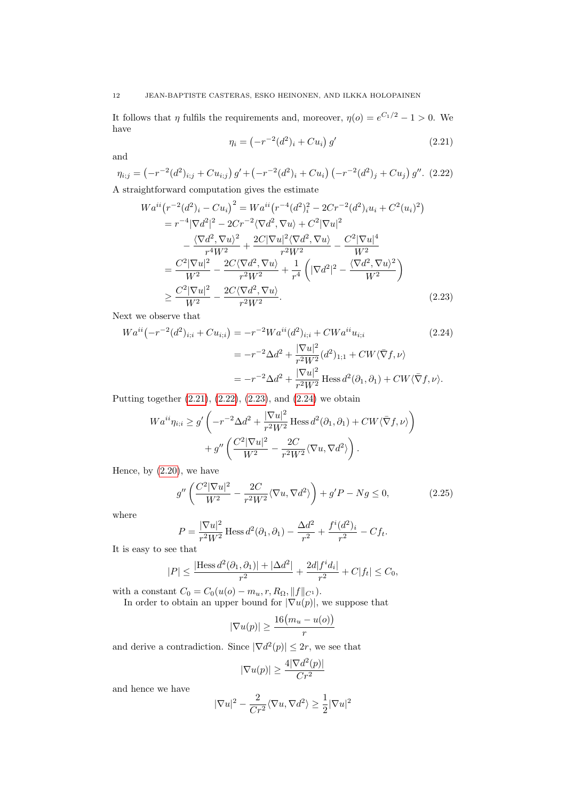It follows that  $\eta$  fulfils the requirements and, moreover,  $\eta(o) = e^{C_1/2} - 1 > 0$ . We have

<span id="page-11-3"></span><span id="page-11-2"></span><span id="page-11-0"></span>
$$
\eta_i = \left(-r^{-2}(d^2)_i + Cu_i\right)g' \tag{2.21}
$$

and

<span id="page-11-1"></span>
$$
\eta_{i;j} = \left(-r^{-2}(d^2)_{i;j} + Cu_{i;j}\right)g' + \left(-r^{-2}(d^2)_i + Cu_i\right)\left(-r^{-2}(d^2)_j + Cu_j\right)g''.
$$
 (2.22)

A straightforward computation gives the estimate

$$
Wa^{ii}(r^{-2}(d^{2})_{i} - Cu_{i})^{2} = Wa^{ii}(r^{-4}(d^{2})_{i}^{2} - 2Cr^{-2}(d^{2})_{i}u_{i} + C^{2}(u_{i})^{2})
$$
  
\n
$$
= r^{-4}|\nabla d^{2}|^{2} - 2Cr^{-2}\langle \nabla d^{2}, \nabla u \rangle + C^{2}|\nabla u|^{2}
$$
  
\n
$$
- \frac{\langle \nabla d^{2}, \nabla u \rangle^{2}}{r^{4}W^{2}} + \frac{2C|\nabla u|^{2}\langle \nabla d^{2}, \nabla u \rangle}{r^{2}W^{2}} - \frac{C^{2}|\nabla u|^{4}}{W^{2}}
$$
  
\n
$$
= \frac{C^{2}|\nabla u|^{2}}{W^{2}} - \frac{2C\langle \nabla d^{2}, \nabla u \rangle}{r^{2}W^{2}} + \frac{1}{r^{4}} \left( |\nabla d^{2}|^{2} - \frac{\langle \nabla d^{2}, \nabla u \rangle^{2}}{W^{2}} \right)
$$
  
\n
$$
\geq \frac{C^{2}|\nabla u|^{2}}{W^{2}} - \frac{2C\langle \nabla d^{2}, \nabla u \rangle}{r^{2}W^{2}}.
$$
\n(2.23)

Next we observe that

$$
Wa^{ii}(-r^{-2}(d^{2})_{i;i} + Cu_{i;i}) = -r^{-2}Wa^{ii}(d^{2})_{i;i} + CWa^{ii}u_{i;i}
$$
\n
$$
= -r^{-2}\Delta d^{2} + \frac{|\nabla u|^{2}}{r^{2}W^{2}}(d^{2})_{1;1} + CW\langle \bar{\nabla}f, \nu \rangle
$$
\n
$$
= -r^{-2}\Delta d^{2} + \frac{|\nabla u|^{2}}{r^{2}W^{2}} \text{Hess } d^{2}(\partial_{1}, \partial_{1}) + CW\langle \bar{\nabla}f, \nu \rangle.
$$
\n(2.24)

Putting together [\(2.21\)](#page-11-0), [\(2.22\)](#page-11-1), [\(2.23\)](#page-11-2), and [\(2.24\)](#page-11-3) we obtain

$$
Wa^{ii}\eta_{i;i} \ge g' \left(-r^{-2}\Delta d^2 + \frac{|\nabla u|^2}{r^2W^2} \operatorname{Hess} d^2(\partial_1, \partial_1) + CW \langle \overline{\nabla} f, \nu \rangle \right) + g'' \left(\frac{C^2 |\nabla u|^2}{W^2} - \frac{2C}{r^2W^2} \langle \nabla u, \nabla d^2 \rangle \right).
$$

Hence, by [\(2.20\)](#page-10-1), we have

<span id="page-11-4"></span>
$$
g''\left(\frac{C^2|\nabla u|^2}{W^2} - \frac{2C}{r^2W^2}\langle\nabla u, \nabla d^2\rangle\right) + g'P - Ng \le 0,
$$
\n(2.25)

where

$$
P = \frac{|\nabla u|^2}{r^2 W^2} \text{ Hess } d^2(\partial_1, \partial_1) - \frac{\Delta d^2}{r^2} + \frac{f^i (d^2)_i}{r^2} - Cf_t.
$$

It is easy to see that

$$
|P| \le \frac{|\text{Hess}\,d^2(\partial_1,\partial_1)| + |\Delta d^2|}{r^2} + \frac{2d|f^id_i|}{r^2} + C|f_t| \le C_0,
$$

with a constant  $C_0 = C_0(u(o) - m_u, r, R_{\Omega}, ||f||_{C^1}).$ 

In order to obtain an upper bound for  $|\nabla u(p)|$ , we suppose that

$$
|\nabla u(p)| \ge \frac{16\big(m_u - u(o)\big)}{r}
$$

and derive a contradiction. Since  $|\nabla d^2(p)| \leq 2r$ , we see that

$$
|\nabla u(p)| \ge \frac{4|\nabla d^2(p)|}{Cr^2}
$$

and hence we have

$$
|\nabla u|^2 - \frac{2}{Cr^2} \langle \nabla u, \nabla d^2 \rangle \ge \frac{1}{2} |\nabla u|^2
$$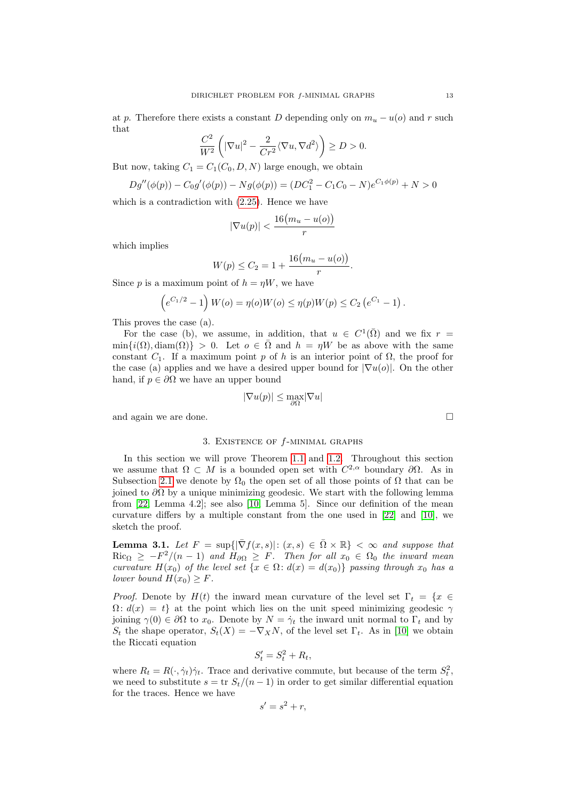at p. Therefore there exists a constant D depending only on  $m_u - u(o)$  and r such that

$$
\frac{C^2}{W^2}\left(|\nabla u|^2 - \frac{2}{Cr^2}\langle \nabla u, \nabla d^2 \rangle\right) \ge D > 0.
$$

But now, taking  $C_1 = C_1(C_0, D, N)$  large enough, we obtain

$$
Dg''(\phi(p)) - C_0g'(\phi(p)) - Ng(\phi(p)) = (DC_1^2 - C_1C_0 - N)e^{C_1\phi(p)} + N > 0
$$

which is a contradiction with [\(2.25\)](#page-11-4). Hence we have

$$
|\nabla u(p)| < \frac{16(m_u - u(o))}{r}
$$

which implies

$$
W(p) \le C_2 = 1 + \frac{16(m_u - u(o))}{r}.
$$

Since p is a maximum point of  $h = \eta W$ , we have

$$
(e^{C_1/2} - 1) W(o) = \eta(o)W(o) \leq \eta(p)W(p) \leq C_2 (e^{C_1} - 1).
$$

This proves the case (a).

For the case (b), we assume, in addition, that  $u \in C^1(\overline{\Omega})$  and we fix  $r =$  $\min\{i(\Omega), \text{diam}(\Omega)\} > 0$ . Let  $o \in \overline{\Omega}$  and  $h = \eta W$  be as above with the same constant  $C_1$ . If a maximum point p of h is an interior point of  $\Omega$ , the proof for the case (a) applies and we have a desired upper bound for  $|\nabla u(o)|$ . On the other hand, if  $p \in \partial \Omega$  we have an upper bound

$$
|\nabla u(p)| \leq \max_{\partial \Omega} |\nabla u|
$$

and again we are done.  $\hfill \square$ 

## 3. EXISTENCE OF  $f$ -MINIMAL GRAPHS

<span id="page-12-0"></span>In this section we will prove Theorem [1.1](#page-1-1) and [1.2.](#page-2-0) Throughout this section we assume that  $\Omega \subset M$  is a bounded open set with  $C^{2,\alpha}$  boundary  $\partial\Omega$ . As in Subsection [2.1](#page-4-1) we denote by  $\Omega_0$  the open set of all those points of  $\Omega$  that can be joined to  $\partial\Omega$  by a unique minimizing geodesic. We start with the following lemma from [\[22,](#page-24-19) Lemma 4.2]; see also [\[10,](#page-24-16) Lemma 5]. Since our definition of the mean curvature differs by a multiple constant from the one used in [\[22\]](#page-24-19) and [\[10\]](#page-24-16), we sketch the proof.

<span id="page-12-1"></span>**Lemma 3.1.** Let  $F = \sup\{|\nabla f(x, s)| : (x, s) \in \overline{\Omega} \times \mathbb{R}\}\n\leq \infty$  and suppose that  $\text{Ric}_{\Omega} \geq -F^2/(n-1)$  and  $H_{\partial\Omega} \geq F$ . Then for all  $x_0 \in \Omega_0$  the inward mean curvature  $H(x_0)$  of the level set  $\{x \in \Omega : d(x) = d(x_0)\}\$  passing through  $x_0$  has a lower bound  $H(x_0) \geq F$ .

*Proof.* Denote by  $H(t)$  the inward mean curvature of the level set  $\Gamma_t = \{x \in$  $\Omega: d(x) = t$  at the point which lies on the unit speed minimizing geodesic  $\gamma$ joining  $\gamma(0) \in \partial\Omega$  to  $x_0$ . Denote by  $N = \dot{\gamma}_t$  the inward unit normal to  $\Gamma_t$  and by  $S_t$  the shape operator,  $S_t(X) = -\nabla_X N$ , of the level set  $\Gamma_t$ . As in [\[10\]](#page-24-16) we obtain the Riccati equation

$$
S_t' = S_t^2 + R_t,
$$

where  $R_t = R(\cdot, \dot{\gamma}_t) \dot{\gamma}_t$ . Trace and derivative commute, but because of the term  $S_t^2$ , we need to substitute  $s = \text{tr } S_t/(n-1)$  in order to get similar differential equation for the traces. Hence we have

$$
s'=s^2+r,
$$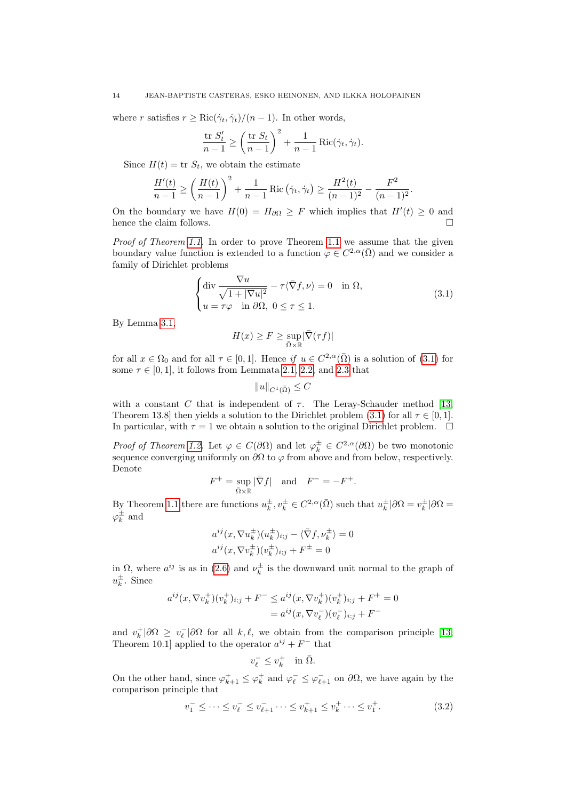where r satisfies  $r \geq \text{Ric}(\dot{\gamma}_t, \dot{\gamma}_t)/(n-1)$ . In other words,

$$
\frac{\operatorname{tr} S_t'}{n-1} \ge \left(\frac{\operatorname{tr} S_t}{n-1}\right)^2 + \frac{1}{n-1} \operatorname{Ric}(\dot{\gamma}_t, \dot{\gamma}_t).
$$

Since  $H(t) = \text{tr } S_t$ , we obtain the estimate

$$
\frac{H'(t)}{n-1} \ge \left(\frac{H(t)}{n-1}\right)^2 + \frac{1}{n-1} \operatorname{Ric}\left(\dot{\gamma}_t, \dot{\gamma}_t\right) \ge \frac{H^2(t)}{(n-1)^2} - \frac{F^2}{(n-1)^2}.
$$

On the boundary we have  $H(0) = H_{\partial\Omega} \geq F$  which implies that  $H'(t) \geq 0$  and hence the claim follows.  $\hfill \square$ 

Proof of Theorem [1.1.](#page-1-1) In order to prove Theorem [1.1](#page-1-1) we assume that the given boundary value function is extended to a function  $\varphi \in C^{2,\alpha}(\overline{\Omega})$  and we consider a family of Dirichlet problems

<span id="page-13-0"></span>
$$
\begin{cases} \operatorname{div} \frac{\nabla u}{\sqrt{1+|\nabla u|^2}} - \tau \langle \bar{\nabla} f, \nu \rangle = 0 & \text{in } \Omega, \\ u = \tau \varphi & \text{in } \partial \Omega, \ 0 \le \tau \le 1. \end{cases}
$$
 (3.1)

By Lemma [3.1,](#page-12-1)

$$
H(x) \geq F \geq \sup_{\bar{\Omega} \times \mathbb{R}} |\bar{\nabla}(\tau f)|
$$

for all  $x \in \Omega_0$  and for all  $\tau \in [0,1]$ . Hence if  $u \in C^{2,\alpha}(\overline{\Omega})$  is a solution of  $(3.1)$  for some  $\tau \in [0, 1]$ , it follows from Lemmata [2.1,](#page-6-4) [2.2,](#page-8-2) and [2.3](#page-8-1) that

$$
||u||_{C^1(\bar{\Omega})} \leq C
$$

with a constant C that is independent of  $\tau$ . The Leray-Schauder method [\[13,](#page-24-9) Theorem 13.8] then yields a solution to the Dirichlet problem [\(3.1\)](#page-13-0) for all  $\tau \in [0, 1]$ . In particular, with  $\tau = 1$  we obtain a solution to the original Dirichlet problem.  $\Box$ 

Proof of Theorem [1.2.](#page-2-0) Let  $\varphi \in C(\partial \Omega)$  and let  $\varphi_k^{\pm} \in C^{2,\alpha}(\partial \Omega)$  be two monotonic sequence converging uniformly on  $\partial\Omega$  to  $\varphi$  from above and from below, respectively. Denote

$$
F^+ = \sup_{\bar{\Omega}\times\mathbb{R}} |\bar{\nabla}f| \quad \text{and} \quad F^- = -F^+.
$$

By Theorem [1.1](#page-1-1) there are functions  $u_k^{\pm}, v_k^{\pm} \in C^{2,\alpha}(\overline{\Omega})$  such that  $u_k^{\pm}|\partial\Omega = v_k^{\pm}|\partial\Omega =$  $\varphi_k^{\pm}$  and

$$
a^{ij}(x, \nabla u_k^{\pm})(u_k^{\pm})_{i,j} - \langle \bar{\nabla} f, \nu_k^{\pm} \rangle = 0
$$
  

$$
a^{ij}(x, \nabla v_k^{\pm})(v_k^{\pm})_{i,j} + F^{\pm} = 0
$$

in  $\Omega$ , where  $a^{ij}$  is as in [\(2.6\)](#page-6-5) and  $\nu_k^{\pm}$  is the downward unit normal to the graph of  $u_k^{\pm}$ . Since

$$
a^{ij}(x, \nabla v_k^+)(v_k^+)_{i;j} + F^- \le a^{ij}(x, \nabla v_k^+)(v_k^+)_{i;j} + F^+ = 0
$$
  
=  $a^{ij}(x, \nabla v_\ell^-)(v_\ell^-)_{i;j} + F^-$ 

and  $v_k^+|\partial\Omega \ge v_\ell^-|\partial\Omega$  for all  $k, \ell$ , we obtain from the comparison principle [\[13,](#page-24-9) Theorem 10.1 applied to the operator  $a^{ij} + F^-$  that

$$
v_{\ell}^- \le v_k^+ \quad \text{in } \bar{\Omega}.
$$

On the other hand, since  $\varphi_{k+1}^+ \leq \varphi_k^+$  and  $\varphi_\ell^- \leq \varphi_{\ell+1}^-$  on  $\partial\Omega$ , we have again by the comparison principle that

<span id="page-13-1"></span>
$$
v_1^- \le \dots \le v_\ell^- \le v_{\ell+1}^- \dots \le v_{k+1}^+ \le v_k^+ \dots \le v_1^+.
$$
 (3.2)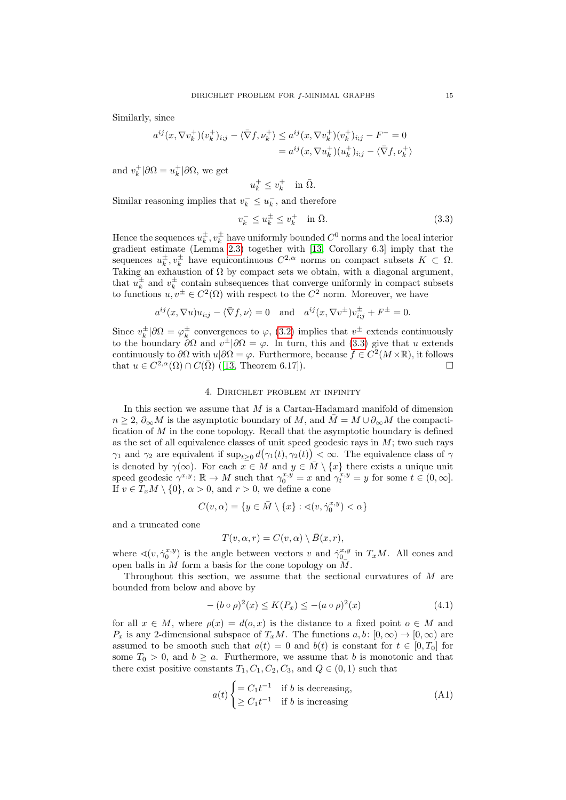Similarly, since

$$
a^{ij}(x, \nabla v_k^+)(v_k^+)_{i;j} - \langle \bar{\nabla} f, \nu_k^+ \rangle \le a^{ij}(x, \nabla v_k^+)(v_k^+)_{i;j} - F^- = 0
$$
  
=  $a^{ij}(x, \nabla u_k^+)(u_k^+)_{i;j} - \langle \bar{\nabla} f, \nu_k^+ \rangle$ 

and  $v_k^+|\partial\Omega=u_k^+|\partial\Omega$ , we get

$$
u_k^+ \le v_k^+ \quad \text{in } \bar{\Omega}.
$$

Similar reasoning implies that  $v_k^- \le u_k^-$  , and therefore

<span id="page-14-2"></span>
$$
v_k^- \le u_k^{\pm} \le v_k^+ \quad \text{in } \bar{\Omega}.\tag{3.3}
$$

Hence the sequences  $u_k^{\pm}$ ,  $v_k^{\pm}$  have uniformly bounded  $C^0$  norms and the local interior gradient estimate (Lemma [2.3\)](#page-8-1) together with [\[13,](#page-24-9) Corollary 6.3] imply that the sequences  $u_k^{\pm}, v_k^{\pm}$  have equicontinuous  $C^{2,\alpha}$  norms on compact subsets  $K \subset \Omega$ . Taking an exhaustion of  $\Omega$  by compact sets we obtain, with a diagonal argument, that  $u_k^{\pm}$  and  $v_k^{\pm}$  contain subsequences that converge uniformly in compact subsets to functions  $u, v^{\pm} \in C^2(\Omega)$  with respect to the  $C^2$  norm. Moreover, we have

$$
a^{ij}(x,\nabla u)u_{i;j}-\langle \bar{\nabla}f,\nu\rangle=0
$$
 and  $a^{ij}(x,\nabla v^{\pm})v_{i;j}^{\pm}+F^{\pm}=0.$ 

Since  $v_k^{\pm}|\partial\Omega = \varphi_k^{\pm}$  convergences to  $\varphi$ , [\(3.2\)](#page-13-1) implies that  $v^{\pm}$  extends continuously to the boundary  $\partial\Omega$  and  $v^{\pm}|\partial\Omega = \varphi$ . In turn, this and [\(3.3\)](#page-14-2) give that u extends continuously to  $\partial\Omega$  with  $u|\partial\Omega = \varphi$ . Furthermore, because  $f \in C^2(M \times \mathbb{R})$ , it follows that $u \in C^{2,\alpha}(\Omega) \cap C(\overline{\Omega})$  ([\[13,](#page-24-9) Theorem 6.17]).

#### 4. Dirichlet problem at infinity

<span id="page-14-0"></span>In this section we assume that  $M$  is a Cartan-Hadamard manifold of dimension  $n \geq 2$ ,  $\partial_{\infty}M$  is the asymptotic boundary of M, and  $\overline{M} = M \cup \partial_{\infty}M$  the compactification of  $M$  in the cone topology. Recall that the asymptotic boundary is defined as the set of all equivalence classes of unit speed geodesic rays in  $M$ ; two such rays  $\gamma_1$  and  $\gamma_2$  are equivalent if  $\sup_{t\geq 0} d(\gamma_1(t), \gamma_2(t)) < \infty$ . The equivalence class of  $\gamma$ is denoted by  $\gamma(\infty)$ . For each  $x \in M$  and  $y \in \overline{M} \setminus \{x\}$  there exists a unique unit speed geodesic  $\gamma^{x,y}: \mathbb{R} \to M$  such that  $\gamma_0^{x,y} = x$  and  $\gamma_t^{x,y} = y$  for some  $t \in (0,\infty]$ . If  $v \in T_xM \setminus \{0\}$ ,  $\alpha > 0$ , and  $r > 0$ , we define a cone

$$
C(v,\alpha)=\{y\in \bar M\setminus\{x\}: \sphericalangle(v,\dot\gamma_0^{x,y})<\alpha\}
$$

and a truncated cone

$$
T(v, \alpha, r) = C(v, \alpha) \setminus \bar{B}(x, r),
$$

where  $\triangleleft(v, \dot{\gamma}_0^{x,y})$  is the angle between vectors v and  $\dot{\gamma}_{0}^{x,y}$  in  $T_xM$ . All cones and open balls in M form a basis for the cone topology on  $\overline{M}$ .

Throughout this section, we assume that the sectional curvatures of M are bounded from below and above by

<span id="page-14-3"></span>
$$
-(b \circ \rho)^{2}(x) \le K(P_{x}) \le -(a \circ \rho)^{2}(x) \tag{4.1}
$$

for all  $x \in M$ , where  $\rho(x) = d(o, x)$  is the distance to a fixed point  $o \in M$  and  $P_x$  is any 2-dimensional subspace of  $T_xM$ . The functions  $a, b : [0, \infty) \to [0, \infty)$  are assumed to be smooth such that  $a(t) = 0$  and  $b(t)$  is constant for  $t \in [0, T_0]$  for some  $T_0 > 0$ , and  $b \ge a$ . Furthermore, we assume that b is monotonic and that there exist positive constants  $T_1, C_1, C_2, C_3$ , and  $Q \in (0, 1)$  such that

<span id="page-14-1"></span>
$$
a(t) \begin{cases} = C_1 t^{-1} & \text{if } b \text{ is decreasing,} \\ \ge C_1 t^{-1} & \text{if } b \text{ is increasing} \end{cases}
$$
 (A1)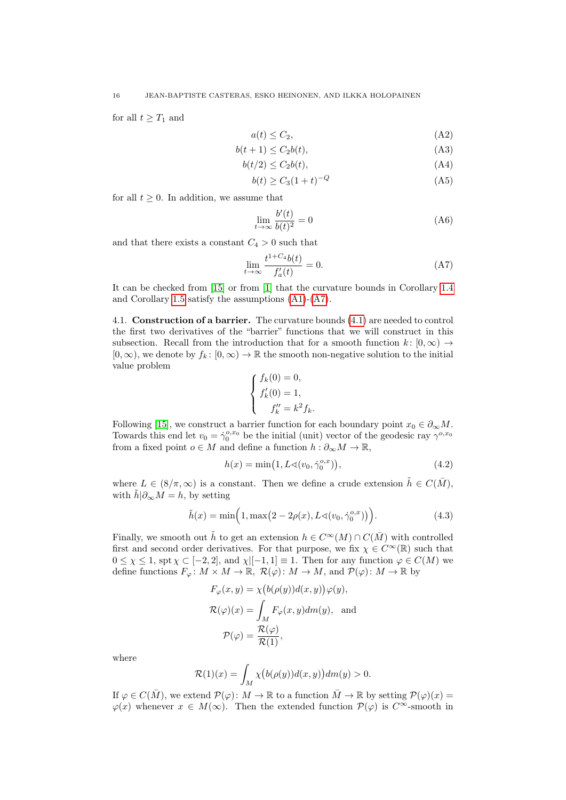for all  $t \geq T_1$  and

$$
a(t) \le C_2,\tag{A2}
$$

$$
b(t+1) \le C_2 b(t),\tag{A3}
$$

$$
b(t/2) \le C_2 b(t),\tag{A4}
$$

$$
b(t) \ge C_3 (1+t)^{-Q} \tag{A5}
$$

for all  $t \geq 0$ . In addition, we assume that

<span id="page-15-1"></span>
$$
\lim_{t \to \infty} \frac{b'(t)}{b(t)^2} = 0
$$
\n(A6)

and that there exists a constant  $C_4 > 0$  such that

$$
\lim_{t \to \infty} \frac{t^{1+C_4}b(t)}{f'_a(t)} = 0.
$$
\n(A7)

It can be checked from [\[15\]](#page-24-14) or from [\[1\]](#page-24-22) that the curvature bounds in Corollary [1.4](#page-3-5) and Corollary [1.5](#page-3-6) satisfy the assumptions [\(A1\)](#page-14-1)-[\(A7\)](#page-15-1).

<span id="page-15-0"></span>4.1. Construction of a barrier. The curvature bounds [\(4.1\)](#page-14-3) are needed to control the first two derivatives of the "barrier" functions that we will construct in this subsection. Recall from the introduction that for a smooth function  $k: [0, \infty) \to$  $[0, \infty)$ , we denote by  $f_k : [0, \infty) \to \mathbb{R}$  the smooth non-negative solution to the initial value problem

$$
\begin{cases}\nf_k(0) = 0, \\
f'_k(0) = 1, \\
f''_k = k^2 f_k.\n\end{cases}
$$

Following [\[15\]](#page-24-14), we construct a barrier function for each boundary point  $x_0 \in \partial_{\infty} M$ . Towards this end let  $v_0 = \dot{\gamma}_0^{o,x_0}$  be the initial (unit) vector of the geodesic ray  $\gamma^{o,x_0}$ from a fixed point  $o \in M$  and define a function  $h : \partial_{\infty} M \to \mathbb{R}$ ,

<span id="page-15-2"></span>
$$
h(x) = \min(1, L \triangleleft (v_0, \dot{\gamma}_0^{o,x})\big),\tag{4.2}
$$

where  $L \in (8/\pi, \infty)$  is a constant. Then we define a crude extension  $\tilde{h} \in C(\bar{M})$ , with  $\tilde{h}|\partial_{\infty}M = h$ , by setting

$$
\tilde{h}(x) = \min\left(1, \max(2 - 2\rho(x), L \triangleleft (v_0, \dot{\gamma}_0^{o,x}))\right)\right).
$$
\n(4.3)

Finally, we smooth out  $\tilde{h}$  to get an extension  $h \in C^{\infty}(M) \cap C(\bar{M})$  with controlled first and second order derivatives. For that purpose, we fix  $\chi \in C^{\infty}(\mathbb{R})$  such that  $0 \leq \chi \leq 1$ , spt  $\chi \subset [-2, 2]$ , and  $\chi$ |[-1, 1] = 1. Then for any function  $\varphi \in C(M)$  we define functions  $F_{\varphi} \colon M \times M \to \mathbb{R}$ ,  $\mathcal{R}(\varphi) \colon M \to M$ , and  $\mathcal{P}(\varphi) \colon M \to \mathbb{R}$  by

$$
F_{\varphi}(x, y) = \chi(b(\rho(y))d(x, y))\varphi(y),
$$
  

$$
\mathcal{R}(\varphi)(x) = \int_{M} F_{\varphi}(x, y)dm(y), \text{ and}
$$
  

$$
\mathcal{P}(\varphi) = \frac{\mathcal{R}(\varphi)}{\mathcal{R}(1)},
$$

where

$$
\mathcal{R}(1)(x) = \int_M \chi(b(\rho(y))d(x,y))dm(y) > 0.
$$

If  $\varphi \in C(\overline{M})$ , we extend  $\mathcal{P}(\varphi) \colon M \to \mathbb{R}$  to a function  $\overline{M} \to \mathbb{R}$  by setting  $\mathcal{P}(\varphi)(x) =$  $\varphi(x)$  whenever  $x \in M(\infty)$ . Then the extended function  $\mathcal{P}(\varphi)$  is  $C^{\infty}$ -smooth in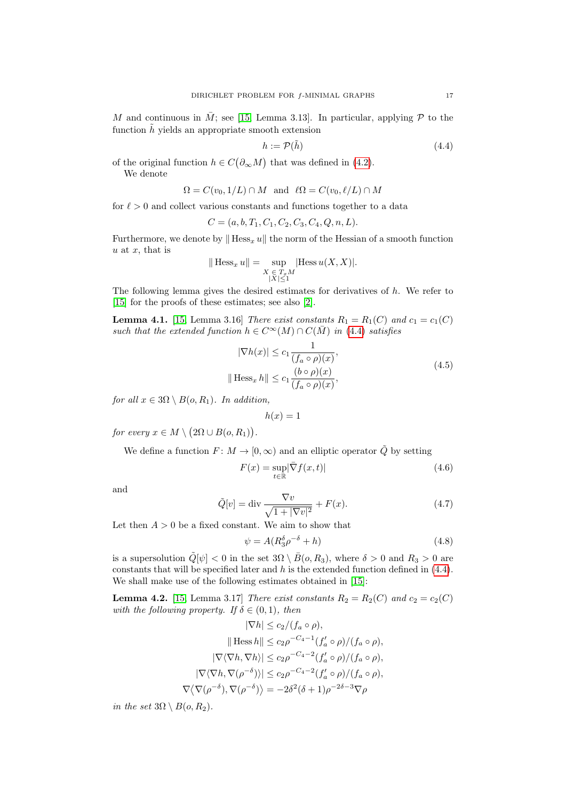M and continuous in  $\overline{M}$ ; see [\[15,](#page-24-14) Lemma 3.13]. In particular, applying  $\mathcal P$  to the function  $\tilde{h}$  yields an appropriate smooth extension

<span id="page-16-0"></span>
$$
h := \mathcal{P}(\tilde{h})\tag{4.4}
$$

of the original function  $h \in C(\partial_{\infty}M)$  that was defined in [\(4.2\)](#page-15-2). We denote

 $\Omega = C(v_0, 1/L) \cap M$  and  $\ell \Omega = C(v_0, \ell/L) \cap M$ 

for  $\ell > 0$  and collect various constants and functions together to a data

$$
C = (a, b, T_1, C_1, C_2, C_3, C_4, Q, n, L).
$$

Furthermore, we denote by  $\|\text{Hess}_x u\|$  the norm of the Hessian of a smooth function  $u$  at  $x$ , that is

$$
\|\operatorname{Hess}_x u\| = \sup_{\substack{X \in T_x M \\ |X| \le 1}} |\operatorname{Hess} u(X, X)|.
$$

The following lemma gives the desired estimates for derivatives of  $h$ . We refer to [\[15\]](#page-24-14) for the proofs of these estimates; see also [\[2\]](#page-24-23).

<span id="page-16-3"></span>**Lemma 4.1.** [\[15,](#page-24-14) Lemma 3.16] There exist constants  $R_1 = R_1(C)$  and  $c_1 = c_1(C)$ such that the extended function  $h \in C^{\infty}(M) \cap C(\overline{M})$  in [\(4.4\)](#page-16-0) satisfies

$$
|\nabla h(x)| \le c_1 \frac{1}{(f_a \circ \rho)(x)},
$$
  
 
$$
\|\operatorname{Hess}_x h\| \le c_1 \frac{(b \circ \rho)(x)}{(f_a \circ \rho)(x)},
$$
 (4.5)

for all  $x \in 3\Omega \setminus B(o, R_1)$ . In addition,

$$
h(x) = 1
$$

for every  $x \in M \setminus (2\Omega \cup B(o, R_1)).$ 

We define a function  $F: M \to [0, \infty)$  and an elliptic operator  $\tilde{Q}$  by setting

<span id="page-16-1"></span>
$$
F(x) = \sup_{t \in \mathbb{R}} |\bar{\nabla} f(x, t)| \tag{4.6}
$$

and

$$
\tilde{Q}[v] = \text{div}\,\frac{\nabla v}{\sqrt{1+|\nabla v|^2}} + F(x). \tag{4.7}
$$

Let then  $A > 0$  be a fixed constant. We aim to show that

$$
\psi = A(R_3^{\delta} \rho^{-\delta} + h) \tag{4.8}
$$

is a supersolution  $\tilde{Q}[\psi] < 0$  in the set  $3\Omega \setminus \bar{B}(o, R_3)$ , where  $\delta > 0$  and  $R_3 > 0$  are constants that will be specified later and  $h$  is the extended function defined in  $(4.4)$ . We shall make use of the following estimates obtained in [\[15\]](#page-24-14):

<span id="page-16-2"></span>**Lemma 4.2.** [\[15,](#page-24-14) Lemma 3.17] There exist constants  $R_2 = R_2(C)$  and  $c_2 = c_2(C)$ with the following property. If  $\delta \in (0,1)$ , then

$$
|\nabla h| \le c_2/(f_a \circ \rho),
$$
  
\n
$$
|| \text{Hess } h|| \le c_2 \rho^{-C_4 - 1} (f'_a \circ \rho)/(f_a \circ \rho),
$$
  
\n
$$
|\nabla \langle \nabla h, \nabla h \rangle| \le c_2 \rho^{-C_4 - 2} (f'_a \circ \rho)/(f_a \circ \rho),
$$
  
\n
$$
|\nabla \langle \nabla h, \nabla (\rho^{-\delta}) \rangle| \le c_2 \rho^{-C_4 - 2} (f'_a \circ \rho)/(f_a \circ \rho),
$$
  
\n
$$
\nabla \langle \nabla (\rho^{-\delta}), \nabla (\rho^{-\delta}) \rangle = -2\delta^2 (\delta + 1) \rho^{-2\delta - 3} \nabla \rho
$$

in the set  $3\Omega \setminus B(o, R_2)$ .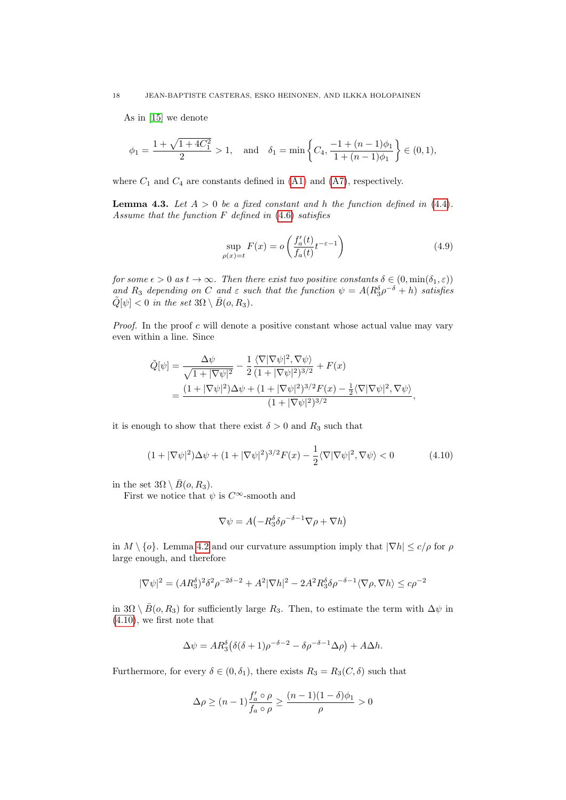As in [\[15\]](#page-24-14) we denote

$$
\phi_1 = \frac{1+\sqrt{1+4C_1^2}}{2} > 1, \quad \text{and} \quad \delta_1 = \min\left\{C_4, \frac{-1+(n-1)\phi_1}{1+(n-1)\phi_1}\right\} \in (0,1),
$$

where  $C_1$  and  $C_4$  are constants defined in [\(A1\)](#page-14-1) and [\(A7\)](#page-15-1), respectively.

<span id="page-17-2"></span>**Lemma 4.3.** Let  $A > 0$  be a fixed constant and h the function defined in [\(4.4\)](#page-16-0). Assume that the function  $F$  defined in  $(4.6)$  satisfies

<span id="page-17-1"></span>
$$
\sup_{\rho(x)=t} F(x) = o\left(\frac{f_a'(t)}{f_a(t)} t^{-\varepsilon - 1}\right)
$$
\n(4.9)

for some  $\epsilon > 0$  as  $t \to \infty$ . Then there exist two positive constants  $\delta \in (0, \min(\delta_1, \varepsilon))$ and  $R_3$  depending on C and  $\varepsilon$  such that the function  $\psi = A(R_3^{\delta}\rho^{-\delta} + h)$  satisfies  $\tilde{Q}[\psi] < 0$  in the set  $3\Omega \setminus \bar{B}(o, R_3)$ .

*Proof.* In the proof  $c$  will denote a positive constant whose actual value may vary even within a line. Since

$$
\tilde{Q}[\psi] = \frac{\Delta \psi}{\sqrt{1+|\nabla \psi|^2}} - \frac{1}{2} \frac{\langle \nabla |\nabla \psi|^2, \nabla \psi \rangle}{(1+|\nabla \psi|^2)^{3/2}} + F(x) \n= \frac{(1+|\nabla \psi|^2)\Delta \psi + (1+|\nabla \psi|^2)^{3/2}F(x) - \frac{1}{2}\langle \nabla |\nabla \psi|^2, \nabla \psi \rangle}{(1+|\nabla \psi|^2)^{3/2}},
$$

it is enough to show that there exist  $\delta > 0$  and  $R_3$  such that

<span id="page-17-0"></span>
$$
(1+|\nabla\psi|^2)\Delta\psi + (1+|\nabla\psi|^2)^{3/2}F(x) - \frac{1}{2}\langle\nabla|\nabla\psi|^2, \nabla\psi\rangle < 0\tag{4.10}
$$

in the set  $3\Omega \setminus \bar{B}(o, R_3)$ .

First we notice that  $\psi$  is  $C^{\infty}$ -smooth and

$$
\nabla \psi = A(-R_3^{\delta} \delta \rho^{-\delta - 1} \nabla \rho + \nabla h)
$$

in  $M \setminus \{o\}$ . Lemma [4.2](#page-16-2) and our curvature assumption imply that  $|\nabla h| \le c/\rho$  for  $\rho$ large enough, and therefore

$$
|\nabla \psi|^2 = (AR_3^{\delta})^2 \delta^2 \rho^{-2\delta - 2} + A^2 |\nabla h|^2 - 2A^2 R_3^{\delta} \delta \rho^{-\delta - 1} \langle \nabla \rho, \nabla h \rangle \le c \rho^{-2}
$$

in 3 $\Omega \setminus \overline{B}(o, R_3)$  for sufficiently large  $R_3$ . Then, to estimate the term with  $\Delta \psi$  in [\(4.10\)](#page-17-0), we first note that

$$
\Delta \psi = AR_3^{\delta} \big( \delta(\delta + 1) \rho^{-\delta - 2} - \delta \rho^{-\delta - 1} \Delta \rho \big) + A \Delta h.
$$

Furthermore, for every  $\delta \in (0, \delta_1)$ , there exists  $R_3 = R_3(C, \delta)$  such that

$$
\Delta\rho\geq (n-1)\frac{f_a'\circ\rho}{f_a\circ\rho}\geq \frac{(n-1)(1-\delta)\phi_1}{\rho}>0
$$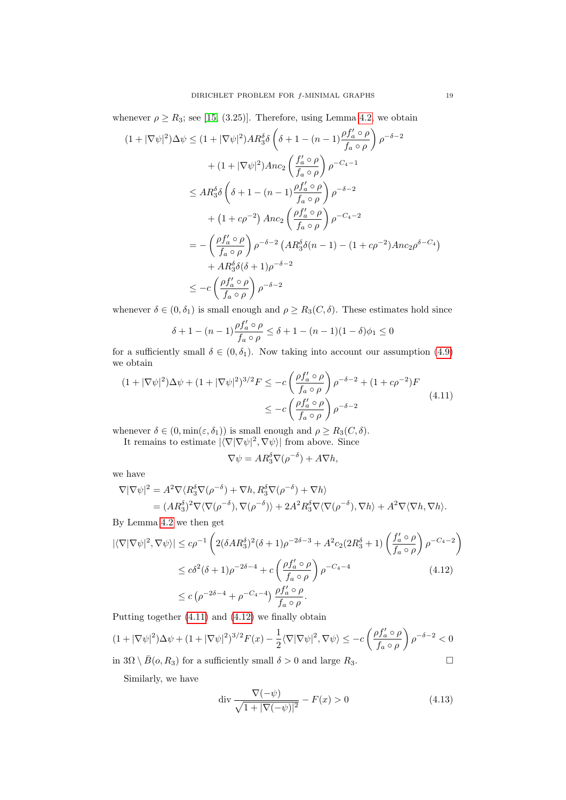whenever  $\rho \ge R_3$ ; see [\[15,](#page-24-14) (3.25)]. Therefore, using Lemma [4.2,](#page-16-2) we obtain

$$
(1+|\nabla\psi|^2)\Delta\psi \leq (1+|\nabla\psi|^2)AR_3^{\delta}\delta\left(\delta+1-(n-1)\frac{\rho f'_a \circ \rho}{f_a \circ \rho}\right)\rho^{-\delta-2}
$$
  
+ 
$$
(1+|\nabla\psi|^2)Anc_2\left(\frac{f'_a \circ \rho}{f_a \circ \rho}\right)\rho^{-C_4-1}
$$
  

$$
\leq AR_3^{\delta}\delta\left(\delta+1-(n-1)\frac{\rho f'_a \circ \rho}{f_a \circ \rho}\right)\rho^{-\delta-2}
$$
  
+ 
$$
(1+c\rho^{-2})Anc_2\left(\frac{\rho f'_a \circ \rho}{f_a \circ \rho}\right)\rho^{-C_4-2}
$$
  
= 
$$
-\left(\frac{\rho f'_a \circ \rho}{f_a \circ \rho}\right)\rho^{-\delta-2}\left(AR_3^{\delta}\delta(n-1)-(1+c\rho^{-2})Anc_2\rho^{\delta-C_4}\right)
$$
  
+ 
$$
AR_3^{\delta}\delta(\delta+1)\rho^{-\delta-2}
$$
  

$$
\leq -c\left(\frac{\rho f'_a \circ \rho}{f_a \circ \rho}\right)\rho^{-\delta-2}
$$

whenever  $\delta \in (0, \delta_1)$  is small enough and  $\rho \geq R_3(C, \delta)$ . These estimates hold since

$$
\delta + 1 - (n - 1)\frac{\rho f'_a \circ \rho}{f_a \circ \rho} \le \delta + 1 - (n - 1)(1 - \delta)\phi_1 \le 0
$$

for a sufficiently small  $\delta \in (0, \delta_1)$ . Now taking into account our assumption [\(4.9\)](#page-17-1) we obtain

$$
(1+|\nabla\psi|^2)\Delta\psi + (1+|\nabla\psi|^2)^{3/2}F \le -c\left(\frac{\rho f'_a \circ \rho}{f_a \circ \rho}\right)\rho^{-\delta-2} + (1+c\rho^{-2})F
$$
  

$$
\le -c\left(\frac{\rho f'_a \circ \rho}{f_a \circ \rho}\right)\rho^{-\delta-2}
$$
 (4.11)

whenever  $\delta \in (0, \min(\varepsilon, \delta_1))$  is small enough and  $\rho \geq R_3(C, \delta)$ .

It remains to estimate  $|\langle \nabla |\nabla \psi|^2, \nabla \psi \rangle|$  from above. Since

<span id="page-18-1"></span><span id="page-18-0"></span>
$$
\nabla \psi = AR_3^{\delta} \nabla (\rho^{-\delta}) + A \nabla h,
$$

we have

$$
\nabla |\nabla \psi|^2 = A^2 \nabla \langle R_3^{\delta} \nabla (\rho^{-\delta}) + \nabla h, R_3^{\delta} \nabla (\rho^{-\delta}) + \nabla h \rangle
$$
  
=  $(AR_3^{\delta})^2 \nabla \langle \nabla (\rho^{-\delta}), \nabla (\rho^{-\delta}) \rangle + 2A^2 R_3^{\delta} \nabla \langle \nabla (\rho^{-\delta}), \nabla h \rangle + A^2 \nabla \langle \nabla h, \nabla h \rangle.$ 

By Lemma [4.2](#page-16-2) we then get

$$
\left| \langle \nabla |\nabla \psi|^2, \nabla \psi \rangle \right| \leq c\rho^{-1} \left( 2(\delta AR_3^{\delta})^2 (\delta + 1)\rho^{-2\delta - 3} + A^2 c_2 (2R_3^{\delta} + 1) \left( \frac{f_a' \circ \rho}{f_a \circ \rho} \right) \rho^{-C_4 - 2} \right)
$$
  

$$
\leq c\delta^2 (\delta + 1)\rho^{-2\delta - 4} + c \left( \frac{\rho f_a' \circ \rho}{f_a \circ \rho} \right) \rho^{-C_4 - 4}
$$
  

$$
\leq c \left( \rho^{-2\delta - 4} + \rho^{-C_4 - 4} \right) \frac{\rho f_a' \circ \rho}{f_a \circ \rho}.
$$
 (4.12)

Putting together [\(4.11\)](#page-18-0) and [\(4.12\)](#page-18-1) we finally obtain

$$
(1+|\nabla\psi|^2)\Delta\psi + (1+|\nabla\psi|^2)^{3/2}F(x) - \frac{1}{2}\langle\nabla|\nabla\psi|^2, \nabla\psi\rangle \le -c\left(\frac{\rho f'_a \circ \rho}{f_a \circ \rho}\right)\rho^{-\delta-2} < 0
$$

in  $3\Omega \setminus \overline{B}(o, R_3)$  for a sufficiently small  $\delta > 0$  and large  $R_3$ .

Similarly, we have

<span id="page-18-2"></span>
$$
\operatorname{div} \frac{\nabla(-\psi)}{\sqrt{1+|\nabla(-\psi)|^2}} - F(x) > 0
$$
\n(4.13)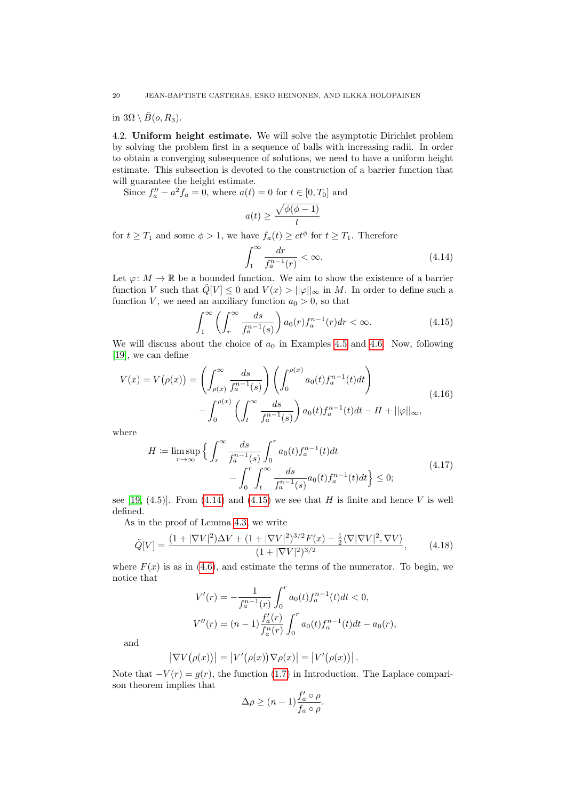in  $3\Omega \setminus \bar{B}(o, R_3)$ .

<span id="page-19-0"></span>4.2. Uniform height estimate. We will solve the asymptotic Dirichlet problem by solving the problem first in a sequence of balls with increasing radii. In order to obtain a converging subsequence of solutions, we need to have a uniform height estimate. This subsection is devoted to the construction of a barrier function that will guarantee the height estimate.

Since  $f''_a - a^2 f_a = 0$ , where  $a(t) = 0$  for  $t \in [0, T_0]$  and

$$
a(t) \ge \frac{\sqrt{\phi(\phi - 1)}}{t}
$$

for  $t \geq T_1$  and some  $\phi > 1$ , we have  $f_a(t) \geq ct^{\phi}$  for  $t \geq T_1$ . Therefore

<span id="page-19-1"></span>
$$
\int_{1}^{\infty} \frac{dr}{f_a^{n-1}(r)} < \infty. \tag{4.14}
$$

Let  $\varphi: M \to \mathbb{R}$  be a bounded function. We aim to show the existence of a barrier function V such that  $\tilde{Q}[V] \leq 0$  and  $V(x) > ||\varphi||_{\infty}$  in M. In order to define such a function V, we need an auxiliary function  $a_0 > 0$ , so that

<span id="page-19-2"></span>
$$
\int_{1}^{\infty} \left( \int_{r}^{\infty} \frac{ds}{f_a^{n-1}(s)} \right) a_0(r) f_a^{n-1}(r) dr < \infty.
$$
 (4.15)

We will discuss about the choice of  $a_0$  in Examples [4.5](#page-21-1) and [4.6.](#page-21-2) Now, following [\[19\]](#page-24-13), we can define

<span id="page-19-4"></span>
$$
V(x) = V(\rho(x)) = \left(\int_{\rho(x)}^{\infty} \frac{ds}{f_a^{n-1}(s)}\right) \left(\int_0^{\rho(x)} a_0(t) f_a^{n-1}(t) dt\right) - \int_0^{\rho(x)} \left(\int_t^{\infty} \frac{ds}{f_a^{n-1}(s)}\right) a_0(t) f_a^{n-1}(t) dt - H + ||\varphi||_{\infty},
$$
\n(4.16)

where

$$
H := \limsup_{r \to \infty} \left\{ \int_{r}^{\infty} \frac{ds}{f_a^{n-1}(s)} \int_0^r a_0(t) f_a^{n-1}(t) dt - \int_0^r \int_t^{\infty} \frac{ds}{f_a^{n-1}(s)} a_0(t) f_a^{n-1}(t) dt \right\} \le 0; \tag{4.17}
$$

see [\[19,](#page-24-13) (4.5)]. From [\(4.14\)](#page-19-1) and [\(4.15\)](#page-19-2) we see that H is finite and hence V is well defined.

As in the proof of Lemma [4.3,](#page-17-2) we write

<span id="page-19-3"></span>
$$
\tilde{Q}[V] = \frac{(1+|\nabla V|^2)\Delta V + (1+|\nabla V|^2)^{3/2}F(x) - \frac{1}{2}\langle \nabla |\nabla V|^2, \nabla V \rangle}{(1+|\nabla V|^2)^{3/2}},\tag{4.18}
$$

where  $F(x)$  is as in [\(4.6\)](#page-16-1), and estimate the terms of the numerator. To begin, we notice that

$$
V'(r) = -\frac{1}{f_a^{n-1}(r)} \int_0^r a_0(t) f_a^{n-1}(t) dt < 0,
$$
  

$$
V''(r) = (n-1) \frac{f_a'(r)}{f_a^n(r)} \int_0^r a_0(t) f_a^{n-1}(t) dt - a_0(r),
$$

and

$$
\left|\nabla V(\rho(x))\right| = \left|V'(\rho(x))\nabla \rho(x)\right| = \left|V'(\rho(x))\right|.
$$

Note that  $-V(r) = g(r)$ , the function [\(1.7\)](#page-2-1) in Introduction. The Laplace comparison theorem implies that

$$
\Delta \rho \geq (n-1) \frac{f_a' \circ \rho}{f_a \circ \rho}.
$$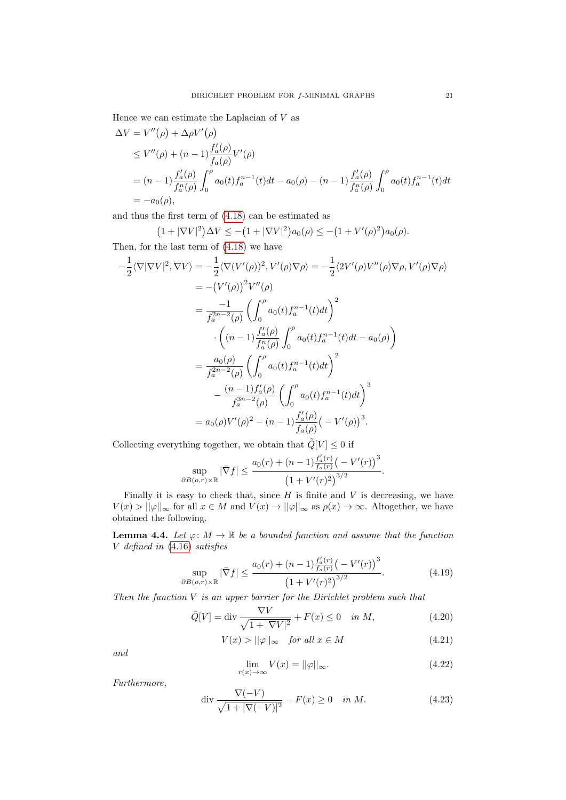Hence we can estimate the Laplacian of  $V$  as

$$
\Delta V = V''(\rho) + \Delta \rho V'(\rho)
$$
  
\n
$$
\leq V''(\rho) + (n-1) \frac{f'_a(\rho)}{f_a(\rho)} V'(\rho)
$$
  
\n
$$
= (n-1) \frac{f'_a(\rho)}{f_a^n(\rho)} \int_0^\rho a_0(t) f_a^{n-1}(t) dt - a_0(\rho) - (n-1) \frac{f'_a(\rho)}{f_a^n(\rho)} \int_0^\rho a_0(t) f_a^{n-1}(t) dt
$$
  
\n
$$
= -a_0(\rho),
$$

and thus the first term of [\(4.18\)](#page-19-3) can be estimated as

$$
(1+|\nabla V|^2)\Delta V \le -(1+|\nabla V|^2)a_0(\rho) \le -(1+V'(\rho)^2)a_0(\rho).
$$
  
Then, for the last term of (4.18) we have

$$
-\frac{1}{2}\langle \nabla |\nabla V|^2, \nabla V \rangle = -\frac{1}{2}\langle \nabla (V'(\rho))^2, V'(\rho)\nabla \rho \rangle = -\frac{1}{2}\langle 2V'(\rho)V''(\rho)\nabla \rho, V'(\rho)\nabla \rho \rangle
$$
  
\n
$$
= -(V'(\rho))^2 V''(\rho)
$$
  
\n
$$
= \frac{-1}{f_a^{2n-2}(\rho)} \left( \int_0^{\rho} a_0(t) f_a^{n-1}(t) dt \right)^2
$$
  
\n
$$
\cdot \left( (n-1) \frac{f_a'(\rho)}{f_a^n(\rho)} \int_0^{\rho} a_0(t) f_a^{n-1}(t) dt - a_0(\rho) \right)
$$
  
\n
$$
= \frac{a_0(\rho)}{f_a^{2n-2}(\rho)} \left( \int_0^{\rho} a_0(t) f_a^{n-1}(t) dt \right)^2
$$
  
\n
$$
- \frac{(n-1)f_a'(\rho)}{f_a^{3n-2}(\rho)} \left( \int_0^{\rho} a_0(t) f_a^{n-1}(t) dt \right)^3
$$
  
\n
$$
= a_0(\rho) V'(\rho)^2 - (n-1) \frac{f_a'(\rho)}{f_a(\rho)} (-V'(\rho))^3.
$$

Collecting everything together, we obtain that  $\tilde{Q}[V] \leq 0$  if

$$
\sup_{\partial B(o,r)\times\mathbb{R}}|\bar{\nabla}f|\leq \frac{a_0(r)+(n-1)\frac{f_a'(r)}{f_a(r)}\big(-V'(r)\big)^3}{\big(1+V'(r)^2\big)^{3/2}}.
$$

Finally it is easy to check that, since  $H$  is finite and  $V$  is decreasing, we have  $V(x) > ||\varphi||_{\infty}$  for all  $x \in M$  and  $V(x) \to ||\varphi||_{\infty}$  as  $\rho(x) \to \infty$ . Altogether, we have obtained the following.

<span id="page-20-1"></span>**Lemma 4.4.** Let  $\varphi: M \to \mathbb{R}$  be a bounded function and assume that the function V defined in [\(4.16\)](#page-19-4) satisfies

$$
\sup_{\partial B(o,r)\times\mathbb{R}} |\bar{\nabla}f| \le \frac{a_0(r) + (n-1)\frac{f_a'(r)}{f_a(r)}\left(-V'(r)\right)^3}{\left(1 + V'(r)^2\right)^{3/2}}.\tag{4.19}
$$

Then the function  $V$  is an upper barrier for the Dirichlet problem such that

$$
\tilde{Q}[V] = \text{div}\,\frac{\nabla V}{\sqrt{1+|\nabla V|^2}} + F(x) \le 0 \quad \text{in } M,\tag{4.20}
$$

$$
V(x) > ||\varphi||_{\infty} \quad \text{for all } x \in M \tag{4.21}
$$

and

<span id="page-20-2"></span><span id="page-20-0"></span>
$$
\lim_{r(x)\to\infty} V(x) = ||\varphi||_{\infty}.\tag{4.22}
$$

Furthermore,

$$
\text{div}\,\frac{\nabla(-V)}{\sqrt{1+|\nabla(-V)|^2}} - F(x) \ge 0 \quad \text{in } M. \tag{4.23}
$$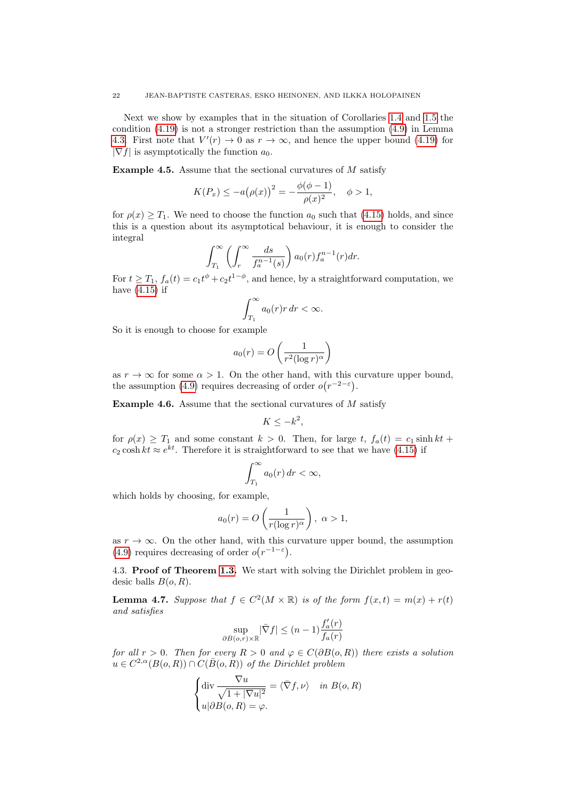Next we show by examples that in the situation of Corollaries [1.4](#page-3-5) and [1.5](#page-3-6) the condition [\(4.19\)](#page-20-0) is not a stronger restriction than the assumption [\(4.9\)](#page-17-1) in Lemma [4.3.](#page-17-2) First note that  $V'(r) \to 0$  as  $r \to \infty$ , and hence the upper bound [\(4.19\)](#page-20-0) for  $|\bar{\nabla} f|$  is asymptotically the function  $a_0$ .

<span id="page-21-1"></span>**Example 4.5.** Assume that the sectional curvatures of  $M$  satisfy

$$
K(P_x) \le -a(\rho(x))^2 = -\frac{\phi(\phi - 1)}{\rho(x)^2}, \quad \phi > 1,
$$

for  $\rho(x) \geq T_1$ . We need to choose the function  $a_0$  such that [\(4.15\)](#page-19-2) holds, and since this is a question about its asymptotical behaviour, it is enough to consider the integral

$$
\int_{T_1}^{\infty} \left( \int_r^{\infty} \frac{ds}{f_a^{n-1}(s)} \right) a_0(r) f_a^{n-1}(r) dr.
$$

For  $t \geq T_1$ ,  $f_a(t) = c_1 t^{\phi} + c_2 t^{1-\phi}$ , and hence, by a straightforward computation, we have  $(4.15)$  if

$$
\int_{T_1}^{\infty} a_0(r) r \, dr < \infty.
$$

So it is enough to choose for example

$$
a_0(r) = O\left(\frac{1}{r^2(\log r)^\alpha}\right)
$$

as  $r \to \infty$  for some  $\alpha > 1$ . On the other hand, with this curvature upper bound, the assumption [\(4.9\)](#page-17-1) requires decreasing of order  $o(r^{-2-\epsilon})$ .

<span id="page-21-2"></span>**Example 4.6.** Assume that the sectional curvatures of  $M$  satisfy

$$
K \le -k^2,
$$

for  $\rho(x) \geq T_1$  and some constant  $k > 0$ . Then, for large t,  $f_a(t) = c_1 \sinh kt +$  $c_2 \cosh kt \approx e^{kt}$ . Therefore it is straightforward to see that we have [\(4.15\)](#page-19-2) if

$$
\int_{T_1}^{\infty} a_0(r) \, dr < \infty,
$$

which holds by choosing, for example,

$$
a_0(r) = O\left(\frac{1}{r(\log r)^\alpha}\right), \ \alpha > 1,
$$

as  $r \to \infty$ . On the other hand, with this curvature upper bound, the assumption [\(4.9\)](#page-17-1) requires decreasing of order  $o(r^{-1-\epsilon})$ .

<span id="page-21-0"></span>4.3. Proof of Theorem [1.3.](#page-3-0) We start with solving the Dirichlet problem in geodesic balls  $B(o, R)$ .

<span id="page-21-3"></span>**Lemma 4.7.** Suppose that  $f \in C^2(M \times \mathbb{R})$  is of the form  $f(x,t) = m(x) + r(t)$ and satisfies

$$
\sup_{\partial B(o,r)\times\mathbb{R}}|\bar{\nabla}f|\leq (n-1)\frac{f_a'(r)}{f_a(r)}
$$

for all  $r > 0$ . Then for every  $R > 0$  and  $\varphi \in C(\partial B(o, R))$  there exists a solution  $u \in C^{2,\alpha}(B(o,R)) \cap C(\overline{B}(o,R))$  of the Dirichlet problem

$$
\begin{cases} \operatorname{div} \frac{\nabla u}{\sqrt{1+|\nabla u|^2}} = \langle \bar{\nabla} f, \nu \rangle & \text{in } B(o, R) \\ u | \partial B(o, R) = \varphi. \end{cases}
$$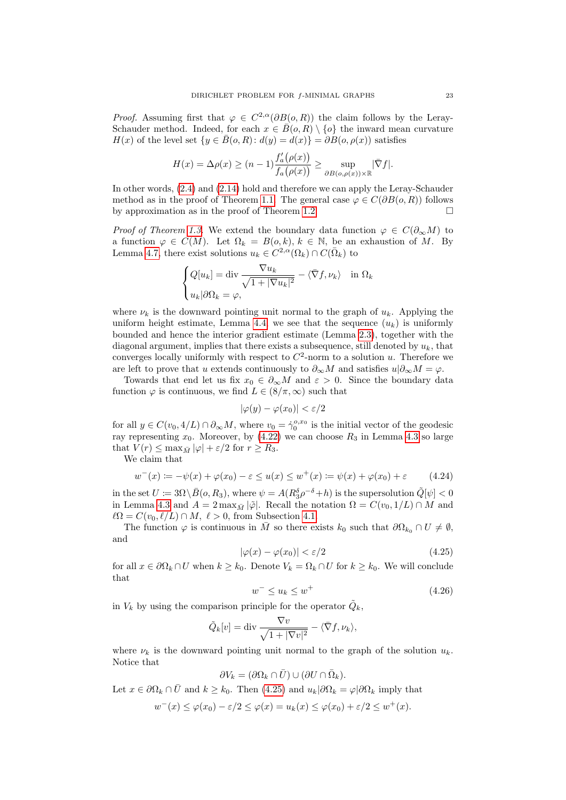*Proof.* Assuming first that  $\varphi \in C^{2,\alpha}(\partial B(o,R))$  the claim follows by the Leray-Schauder method. Indeed, for each  $x \in \overline{B}(o, R) \setminus \{o\}$  the inward mean curvature  $H(x)$  of the level set  $\{y \in \overline{B}(o, R): d(y) = d(x)\} = \partial B(o, \rho(x))$  satisfies

$$
H(x) = \Delta \rho(x) \ge (n-1) \frac{f_a'(\rho(x))}{f_a(\rho(x))} \ge \sup_{\partial B(o,\rho(x)) \times \mathbb{R}} |\bar{\nabla} f|.
$$

In other words, [\(2.4\)](#page-6-6) and [\(2.14\)](#page-8-3) hold and therefore we can apply the Leray-Schauder method as in the proof of Theorem [1.1.](#page-1-1) The general case  $\varphi \in C(\partial B(o, R))$  follows by approximation as in the proof of Theorem [1.2.](#page-2-0)  $\Box$ 

*Proof of Theorem [1.3.](#page-3-0)* We extend the boundary data function  $\varphi \in C(\partial_{\infty}M)$  to a function  $\varphi \in C(\overline{M})$ . Let  $\Omega_k = B(o, k)$ ,  $k \in \mathbb{N}$ , be an exhaustion of M. By Lemma [4.7,](#page-21-3) there exist solutions  $u_k \in C^{2,\alpha}(\Omega_k) \cap C(\overline{\Omega}_k)$  to

$$
\begin{cases} Q[u_k] = \text{div} \, \frac{\nabla u_k}{\sqrt{1 + |\nabla u_k|^2}} - \langle \bar{\nabla} f, \nu_k \rangle & \text{in } \Omega_k \\ u_k | \partial \Omega_k = \varphi, \end{cases}
$$

where  $\nu_k$  is the downward pointing unit normal to the graph of  $u_k$ . Applying the uniform height estimate, Lemma [4.4,](#page-20-1) we see that the sequence  $(u_k)$  is uniformly bounded and hence the interior gradient estimate (Lemma [2.3\)](#page-8-1), together with the diagonal argument, implies that there exists a subsequence, still denoted by  $u_k$ , that converges locally uniformly with respect to  $C^2$ -norm to a solution u. Therefore we are left to prove that u extends continuously to  $\partial_{\infty}M$  and satisfies  $u|\partial_{\infty}M = \varphi$ .

Towards that end let us fix  $x_0 \in \partial_{\infty}M$  and  $\varepsilon > 0$ . Since the boundary data function  $\varphi$  is continuous, we find  $L \in (8/\pi, \infty)$  such that

$$
|\varphi(y) - \varphi(x_0)| < \varepsilon/2
$$

for all  $y \in C(v_0, 4/L) \cap \partial_{\infty}M$ , where  $v_0 = \dot{\gamma}_0^{o, x_0}$  is the initial vector of the geodesic ray representing  $x_0$ . Moreover, by [\(4.22\)](#page-20-2) we can choose  $R_3$  in Lemma [4.3](#page-17-2) so large that  $V(r) \leq \max_{\bar{M}} |\varphi| + \varepsilon/2$  for  $r \geq R_3$ .

We claim that

<span id="page-22-2"></span>
$$
w^{-}(x) := -\psi(x) + \varphi(x_0) - \varepsilon \le u(x) \le w^{+}(x) := \psi(x) + \varphi(x_0) + \varepsilon \tag{4.24}
$$

in the set  $U \coloneqq 3\Omega \backslash \bar{B}(o,R_3)$ , where  $\psi = A(R_3^{\delta}\rho^{-\delta} + h)$  is the supersolution  $\tilde{Q}[\psi] < 0$ in Lemma [4.3](#page-17-2) and  $A = 2 \max_{\tilde{M}} |\tilde{\varphi}|$ . Recall the notation  $\Omega = C(v_0, 1/L) \cap M$  and  $\ell\Omega = C(v_0, \ell/L) \cap M, \ell > 0$ , from Subsection [4.1.](#page-15-0)

The function  $\varphi$  is continuous in M so there exists  $k_0$  such that  $\partial\Omega_{k_0} \cap U \neq \emptyset$ , and

<span id="page-22-0"></span>
$$
|\varphi(x) - \varphi(x_0)| < \varepsilon/2 \tag{4.25}
$$

for all  $x \in \partial \Omega_k \cap U$  when  $k \geq k_0$ . Denote  $V_k = \Omega_k \cap U$  for  $k \geq k_0$ . We will conclude that

<span id="page-22-1"></span>
$$
w^- \le u_k \le w^+\tag{4.26}
$$

in  $V_k$  by using the comparison principle for the operator  $\tilde{Q}_k$ ,

$$
\tilde{Q}_k[v] = \text{div } \frac{\nabla v}{\sqrt{1 + |\nabla v|^2}} - \langle \bar{\nabla} f, \nu_k \rangle,
$$

where  $\nu_k$  is the downward pointing unit normal to the graph of the solution  $u_k$ . Notice that

$$
\partial V_k = (\partial \Omega_k \cap \overline{U}) \cup (\partial U \cap \overline{\Omega}_k).
$$

Let  $x \in \partial \Omega_k \cap \overline{U}$  and  $k \geq k_0$ . Then [\(4.25\)](#page-22-0) and  $u_k|\partial \Omega_k = \varphi|\partial \Omega_k$  imply that

$$
w^-(x) \le \varphi(x_0) - \varepsilon/2 \le \varphi(x) = u_k(x) \le \varphi(x_0) + \varepsilon/2 \le w^+(x).
$$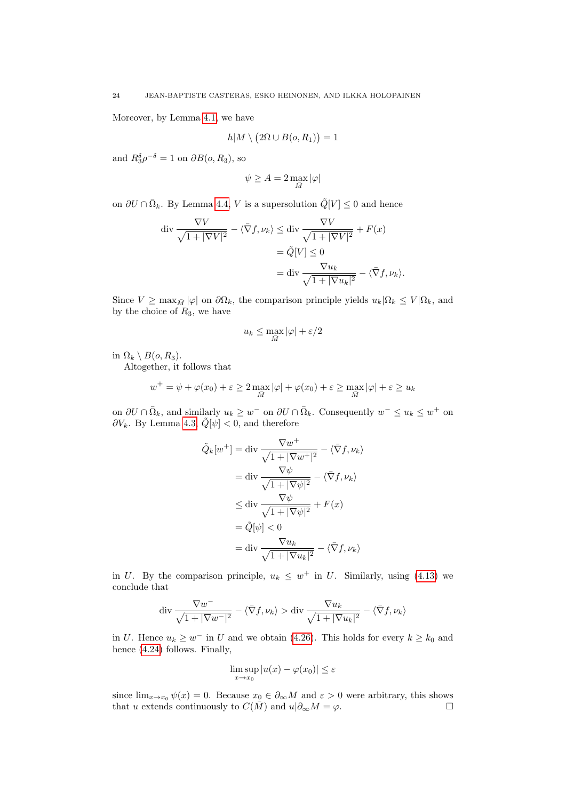Moreover, by Lemma [4.1,](#page-16-3) we have

$$
h|M \setminus (2\Omega \cup B(o, R_1)) = 1
$$

and  $R_3^{\delta} \rho^{-\delta} = 1$  on  $\partial B(o, R_3)$ , so

$$
\psi\geq A=2\max_{\bar{M}}|\varphi|
$$

on  $\partial U \cap \overline{\Omega}_k$ . By Lemma [4.4,](#page-20-1) V is a supersolution  $\widetilde{Q}[V] \leq 0$  and hence

$$
\operatorname{div} \frac{\nabla V}{\sqrt{1+|\nabla V|^2}} - \langle \bar{\nabla} f, \nu_k \rangle \le \operatorname{div} \frac{\nabla V}{\sqrt{1+|\nabla V|^2}} + F(x)
$$

$$
= \tilde{Q}[V] \le 0
$$

$$
= \operatorname{div} \frac{\nabla u_k}{\sqrt{1+|\nabla u_k|^2}} - \langle \bar{\nabla} f, \nu_k \rangle.
$$

Since  $V \ge \max_{\bar{M}} |\varphi|$  on  $\partial \Omega_k$ , the comparison principle yields  $u_k | \Omega_k \le V | \Omega_k$ , and by the choice of  $R_3$ , we have

$$
u_k\leq \max_{\bar{M}}|\varphi|+\varepsilon/2
$$

in  $\Omega_k \setminus B(o, R_3)$ .

Altogether, it follows that

$$
w^{+} = \psi + \varphi(x_0) + \varepsilon \ge 2 \max_{\bar{M}} |\varphi| + \varphi(x_0) + \varepsilon \ge \max_{\bar{M}} |\varphi| + \varepsilon \ge u_k
$$

on  $\partial U \cap \overline{\Omega}_k$ , and similarly  $u_k \geq w^-$  on  $\partial U \cap \overline{\Omega}_k$ . Consequently  $w^- \leq u_k \leq w^+$  on  $\partial V_k$ . By Lemma [4.3,](#page-17-2)  $\tilde{Q}[\psi] < 0$ , and therefore

$$
\tilde{Q}_k[w^+] = \text{div } \frac{\nabla w^+}{\sqrt{1 + |\nabla w^+|^2}} - \langle \bar{\nabla} f, \nu_k \rangle
$$

$$
= \text{div } \frac{\nabla \psi}{\sqrt{1 + |\nabla \psi|^2}} - \langle \bar{\nabla} f, \nu_k \rangle
$$

$$
\leq \text{div } \frac{\nabla \psi}{\sqrt{1 + |\nabla \psi|^2}} + F(x)
$$

$$
= \tilde{Q}[\psi] < 0
$$

$$
= \text{div } \frac{\nabla u_k}{\sqrt{1 + |\nabla u_k|^2}} - \langle \bar{\nabla} f, \nu_k \rangle
$$

in U. By the comparison principle,  $u_k \leq w^+$  in U. Similarly, using [\(4.13\)](#page-18-2) we conclude that

$$
\operatorname{div} \frac{\nabla w^-}{\sqrt{1+|\nabla w^-|^2}} - \langle \bar{\nabla} f, \nu_k \rangle > \operatorname{div} \frac{\nabla u_k}{\sqrt{1+|\nabla u_k|^2}} - \langle \bar{\nabla} f, \nu_k \rangle
$$

in U. Hence  $u_k \geq w^-$  in U and we obtain [\(4.26\)](#page-22-1). This holds for every  $k \geq k_0$  and hence  $(4.24)$  follows. Finally,

$$
\limsup_{x \to x_0} |u(x) - \varphi(x_0)| \le \varepsilon
$$

since  $\lim_{x\to x_0} \psi(x) = 0$ . Because  $x_0 \in \partial_\infty M$  and  $\varepsilon > 0$  were arbitrary, this shows that u extends continuously to  $C(\overline{M})$  and  $u|\partial_{\infty}M = \varphi$ .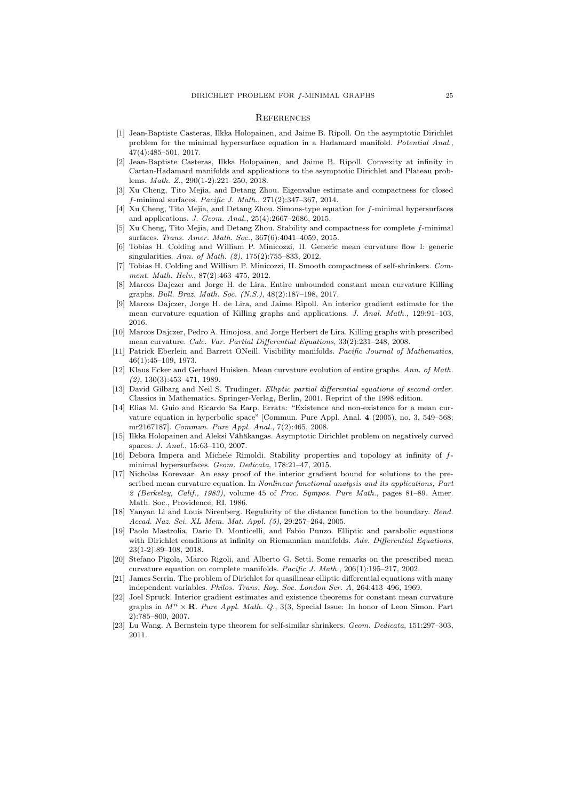#### <span id="page-24-0"></span>**REFERENCES**

- <span id="page-24-22"></span>[1] Jean-Baptiste Casteras, Ilkka Holopainen, and Jaime B. Ripoll. On the asymptotic Dirichlet problem for the minimal hypersurface equation in a Hadamard manifold. Potential Anal., 47(4):485–501, 2017.
- <span id="page-24-23"></span>[2] Jean-Baptiste Casteras, Ilkka Holopainen, and Jaime B. Ripoll. Convexity at infinity in Cartan-Hadamard manifolds and applications to the asymptotic Dirichlet and Plateau problems. Math. Z., 290(1-2):221–250, 2018.
- <span id="page-24-3"></span>[3] Xu Cheng, Tito Mejia, and Detang Zhou. Eigenvalue estimate and compactness for closed f-minimal surfaces. Pacific J. Math., 271(2):347–367, 2014.
- <span id="page-24-4"></span>[4] Xu Cheng, Tito Mejia, and Detang Zhou. Simons-type equation for f-minimal hypersurfaces and applications. J. Geom. Anal., 25(4):2667–2686, 2015.
- <span id="page-24-5"></span>[5] Xu Cheng, Tito Mejia, and Detang Zhou. Stability and compactness for complete f-minimal surfaces. Trans. Amer. Math. Soc., 367(6):4041–4059, 2015.
- <span id="page-24-2"></span>[6] Tobias H. Colding and William P. Minicozzi, II. Generic mean curvature flow I: generic singularities. Ann. of Math. (2), 175(2):755–833, 2012.
- <span id="page-24-1"></span>[7] Tobias H. Colding and William P. Minicozzi, II. Smooth compactness of self-shrinkers. Comment. Math. Helv., 87(2):463–475, 2012.
- <span id="page-24-21"></span>[8] Marcos Dajczer and Jorge H. de Lira. Entire unbounded constant mean curvature Killing graphs. Bull. Braz. Math. Soc. (N.S.), 48(2):187–198, 2017.
- <span id="page-24-17"></span>Marcos Dajczer, Jorge H. de Lira, and Jaime Ripoll. An interior gradient estimate for the mean curvature equation of Killing graphs and applications. J. Anal. Math., 129:91–103, 2016.
- <span id="page-24-16"></span>[10] Marcos Dajczer, Pedro A. Hinojosa, and Jorge Herbert de Lira. Killing graphs with prescribed mean curvature. Calc. Var. Partial Differential Equations, 33(2):231–248, 2008.
- <span id="page-24-12"></span>[11] Patrick Eberlein and Barrett ONeill. Visibility manifolds. Pacific Journal of Mathematics, 46(1):45–109, 1973.
- <span id="page-24-8"></span>[12] Klaus Ecker and Gerhard Huisken. Mean curvature evolution of entire graphs. Ann. of Math. (2), 130(3):453–471, 1989.
- <span id="page-24-9"></span>[13] David Gilbarg and Neil S. Trudinger. Elliptic partial differential equations of second order. Classics in Mathematics. Springer-Verlag, Berlin, 2001. Reprint of the 1998 edition.
- <span id="page-24-11"></span>[14] Elias M. Guio and Ricardo Sa Earp. Errata: "Existence and non-existence for a mean curvature equation in hyperbolic space" [Commun. Pure Appl. Anal. 4 (2005), no. 3, 549–568; mr2167187]. Commun. Pure Appl. Anal., 7(2):465, 2008.
- <span id="page-24-14"></span>[15] Ilkka Holopainen and Aleksi Vähäkangas. Asymptotic Dirichlet problem on negatively curved spaces. J. Anal., 15:63–110, 2007.
- <span id="page-24-6"></span>[16] Debora Impera and Michele Rimoldi. Stability properties and topology at infinity of fminimal hypersurfaces. Geom. Dedicata, 178:21–47, 2015.
- <span id="page-24-18"></span>[17] Nicholas Korevaar. An easy proof of the interior gradient bound for solutions to the prescribed mean curvature equation. In Nonlinear functional analysis and its applications, Part 2 (Berkeley, Calif., 1983), volume 45 of Proc. Sympos. Pure Math., pages 81–89. Amer. Math. Soc., Providence, RI, 1986.
- <span id="page-24-20"></span>[18] Yanyan Li and Louis Nirenberg. Regularity of the distance function to the boundary. Rend. Accad. Naz. Sci. XL Mem. Mat. Appl. (5), 29:257–264, 2005.
- <span id="page-24-13"></span>[19] Paolo Mastrolia, Dario D. Monticelli, and Fabio Punzo. Elliptic and parabolic equations with Dirichlet conditions at infinity on Riemannian manifolds. Adv. Differential Equations, 23(1-2):89–108, 2018.
- <span id="page-24-15"></span>[20] Stefano Pigola, Marco Rigoli, and Alberto G. Setti. Some remarks on the prescribed mean curvature equation on complete manifolds. Pacific J. Math., 206(1):195–217, 2002.
- <span id="page-24-10"></span>[21] James Serrin. The problem of Dirichlet for quasilinear elliptic differential equations with many independent variables. Philos. Trans. Roy. Soc. London Ser. A, 264:413–496, 1969.
- <span id="page-24-19"></span>[22] Joel Spruck. Interior gradient estimates and existence theorems for constant mean curvature graphs in  $M^n \times \mathbf{R}$ . Pure Appl. Math. Q., 3(3, Special Issue: In honor of Leon Simon. Part 2):785–800, 2007.
- <span id="page-24-7"></span>[23] Lu Wang. A Bernstein type theorem for self-similar shrinkers. Geom. Dedicata, 151:297–303, 2011.